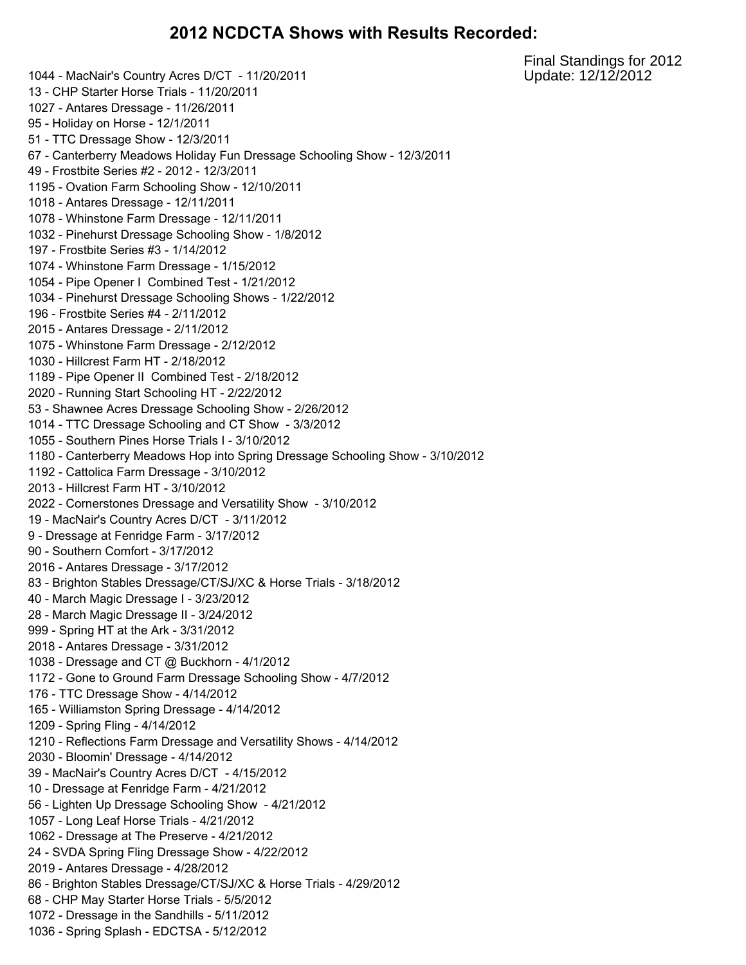#### **NCDCTA Shows with Results Recorded:**

 - MacNair's Country Acres D/CT - 11/20/2011 - CHP Starter Horse Trials - 11/20/2011 - Antares Dressage - 11/26/2011 - Holiday on Horse - 12/1/2011 - TTC Dressage Show - 12/3/2011 - Canterberry Meadows Holiday Fun Dressage Schooling Show - 12/3/2011 - Frostbite Series #2 - 2012 - 12/3/2011 - Ovation Farm Schooling Show - 12/10/2011 - Antares Dressage - 12/11/2011 - Whinstone Farm Dressage - 12/11/2011 - Pinehurst Dressage Schooling Show - 1/8/2012 - Frostbite Series #3 - 1/14/2012 - Whinstone Farm Dressage - 1/15/2012 - Pipe Opener I Combined Test - 1/21/2012 - Pinehurst Dressage Schooling Shows - 1/22/2012 - Frostbite Series #4 - 2/11/2012 - Antares Dressage - 2/11/2012 - Whinstone Farm Dressage - 2/12/2012 - Hillcrest Farm HT - 2/18/2012 - Pipe Opener II Combined Test - 2/18/2012 - Running Start Schooling HT - 2/22/2012 - Shawnee Acres Dressage Schooling Show - 2/26/2012 - TTC Dressage Schooling and CT Show - 3/3/2012 - Southern Pines Horse Trials I - 3/10/2012 - Canterberry Meadows Hop into Spring Dressage Schooling Show - 3/10/2012 - Cattolica Farm Dressage - 3/10/2012 - Hillcrest Farm HT - 3/10/2012 - Cornerstones Dressage and Versatility Show - 3/10/2012 - MacNair's Country Acres D/CT - 3/11/2012 - Dressage at Fenridge Farm - 3/17/2012 - Southern Comfort - 3/17/2012 - Antares Dressage - 3/17/2012 - Brighton Stables Dressage/CT/SJ/XC & Horse Trials - 3/18/2012 - March Magic Dressage I - 3/23/2012 - March Magic Dressage II - 3/24/2012 - Spring HT at the Ark - 3/31/2012 - Antares Dressage - 3/31/2012 - Dressage and CT @ Buckhorn - 4/1/2012 - Gone to Ground Farm Dressage Schooling Show - 4/7/2012 - TTC Dressage Show - 4/14/2012 - Williamston Spring Dressage - 4/14/2012 - Spring Fling - 4/14/2012 - Reflections Farm Dressage and Versatility Shows - 4/14/2012 - Bloomin' Dressage - 4/14/2012 - MacNair's Country Acres D/CT - 4/15/2012 - Dressage at Fenridge Farm - 4/21/2012 - Lighten Up Dressage Schooling Show - 4/21/2012 - Long Leaf Horse Trials - 4/21/2012 - Dressage at The Preserve - 4/21/2012 - SVDA Spring Fling Dressage Show - 4/22/2012 - Antares Dressage - 4/28/2012 - Brighton Stables Dressage/CT/SJ/XC & Horse Trials - 4/29/2012 - CHP May Starter Horse Trials - 5/5/2012 - Dressage in the Sandhills - 5/11/2012 - Spring Splash - EDCTSA - 5/12/2012

Final Standings for 2012 Update: 12/12/2012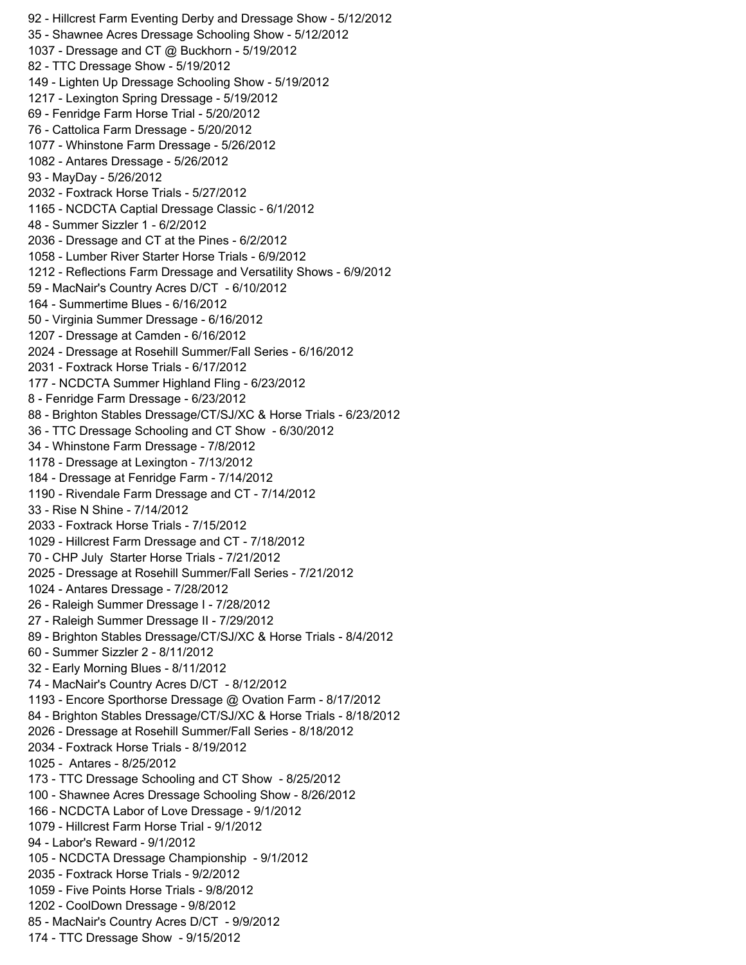- Hillcrest Farm Eventing Derby and Dressage Show - 5/12/2012 - Shawnee Acres Dressage Schooling Show - 5/12/2012 - Dressage and CT @ Buckhorn - 5/19/2012 - TTC Dressage Show - 5/19/2012 - Lighten Up Dressage Schooling Show - 5/19/2012 - Lexington Spring Dressage - 5/19/2012 - Fenridge Farm Horse Trial - 5/20/2012 - Cattolica Farm Dressage - 5/20/2012 - Whinstone Farm Dressage - 5/26/2012 - Antares Dressage - 5/26/2012 - MayDay - 5/26/2012 - Foxtrack Horse Trials - 5/27/2012 - NCDCTA Captial Dressage Classic - 6/1/2012 - Summer Sizzler 1 - 6/2/2012 - Dressage and CT at the Pines - 6/2/2012 - Lumber River Starter Horse Trials - 6/9/2012 - Reflections Farm Dressage and Versatility Shows - 6/9/2012 - MacNair's Country Acres D/CT - 6/10/2012 - Summertime Blues - 6/16/2012 - Virginia Summer Dressage - 6/16/2012 - Dressage at Camden - 6/16/2012 - Dressage at Rosehill Summer/Fall Series - 6/16/2012 - Foxtrack Horse Trials - 6/17/2012 - NCDCTA Summer Highland Fling - 6/23/2012 - Fenridge Farm Dressage - 6/23/2012 - Brighton Stables Dressage/CT/SJ/XC & Horse Trials - 6/23/2012 - TTC Dressage Schooling and CT Show - 6/30/2012 - Whinstone Farm Dressage - 7/8/2012 - Dressage at Lexington - 7/13/2012 - Dressage at Fenridge Farm - 7/14/2012 - Rivendale Farm Dressage and CT - 7/14/2012 - Rise N Shine - 7/14/2012 - Foxtrack Horse Trials - 7/15/2012 - Hillcrest Farm Dressage and CT - 7/18/2012 - CHP July Starter Horse Trials - 7/21/2012 - Dressage at Rosehill Summer/Fall Series - 7/21/2012 - Antares Dressage - 7/28/2012 - Raleigh Summer Dressage I - 7/28/2012 - Raleigh Summer Dressage II - 7/29/2012 - Brighton Stables Dressage/CT/SJ/XC & Horse Trials - 8/4/2012 - Summer Sizzler 2 - 8/11/2012 - Early Morning Blues - 8/11/2012 - MacNair's Country Acres D/CT - 8/12/2012 - Encore Sporthorse Dressage @ Ovation Farm - 8/17/2012 - Brighton Stables Dressage/CT/SJ/XC & Horse Trials - 8/18/2012 - Dressage at Rosehill Summer/Fall Series - 8/18/2012 - Foxtrack Horse Trials - 8/19/2012 - Antares - 8/25/2012 - TTC Dressage Schooling and CT Show - 8/25/2012 - Shawnee Acres Dressage Schooling Show - 8/26/2012 - NCDCTA Labor of Love Dressage - 9/1/2012 - Hillcrest Farm Horse Trial - 9/1/2012 - Labor's Reward - 9/1/2012 - NCDCTA Dressage Championship - 9/1/2012 - Foxtrack Horse Trials - 9/2/2012 - Five Points Horse Trials - 9/8/2012 - CoolDown Dressage - 9/8/2012 - MacNair's Country Acres D/CT - 9/9/2012 - TTC Dressage Show - 9/15/2012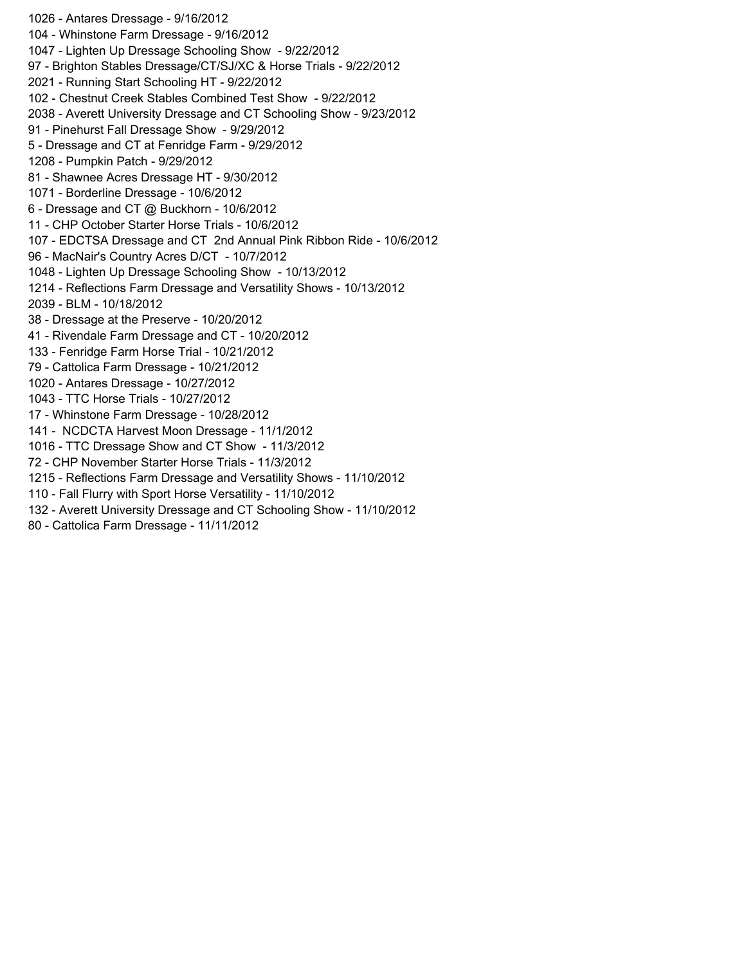- Antares Dressage - 9/16/2012 - Whinstone Farm Dressage - 9/16/2012 - Lighten Up Dressage Schooling Show - 9/22/2012 - Brighton Stables Dressage/CT/SJ/XC & Horse Trials - 9/22/2012 - Running Start Schooling HT - 9/22/2012 - Chestnut Creek Stables Combined Test Show - 9/22/2012 - Averett University Dressage and CT Schooling Show - 9/23/2012 - Pinehurst Fall Dressage Show - 9/29/2012 - Dressage and CT at Fenridge Farm - 9/29/2012 - Pumpkin Patch - 9/29/2012 - Shawnee Acres Dressage HT - 9/30/2012 - Borderline Dressage - 10/6/2012 - Dressage and CT @ Buckhorn - 10/6/2012 - CHP October Starter Horse Trials - 10/6/2012 - EDCTSA Dressage and CT 2nd Annual Pink Ribbon Ride - 10/6/2012 - MacNair's Country Acres D/CT - 10/7/2012 - Lighten Up Dressage Schooling Show - 10/13/2012 - Reflections Farm Dressage and Versatility Shows - 10/13/2012 - BLM - 10/18/2012 - Dressage at the Preserve - 10/20/2012 - Rivendale Farm Dressage and CT - 10/20/2012 - Fenridge Farm Horse Trial - 10/21/2012 - Cattolica Farm Dressage - 10/21/2012 - Antares Dressage - 10/27/2012 - TTC Horse Trials - 10/27/2012 - Whinstone Farm Dressage - 10/28/2012 - NCDCTA Harvest Moon Dressage - 11/1/2012 - TTC Dressage Show and CT Show - 11/3/2012 - CHP November Starter Horse Trials - 11/3/2012 - Reflections Farm Dressage and Versatility Shows - 11/10/2012 - Fall Flurry with Sport Horse Versatility - 11/10/2012 - Averett University Dressage and CT Schooling Show - 11/10/2012 - Cattolica Farm Dressage - 11/11/2012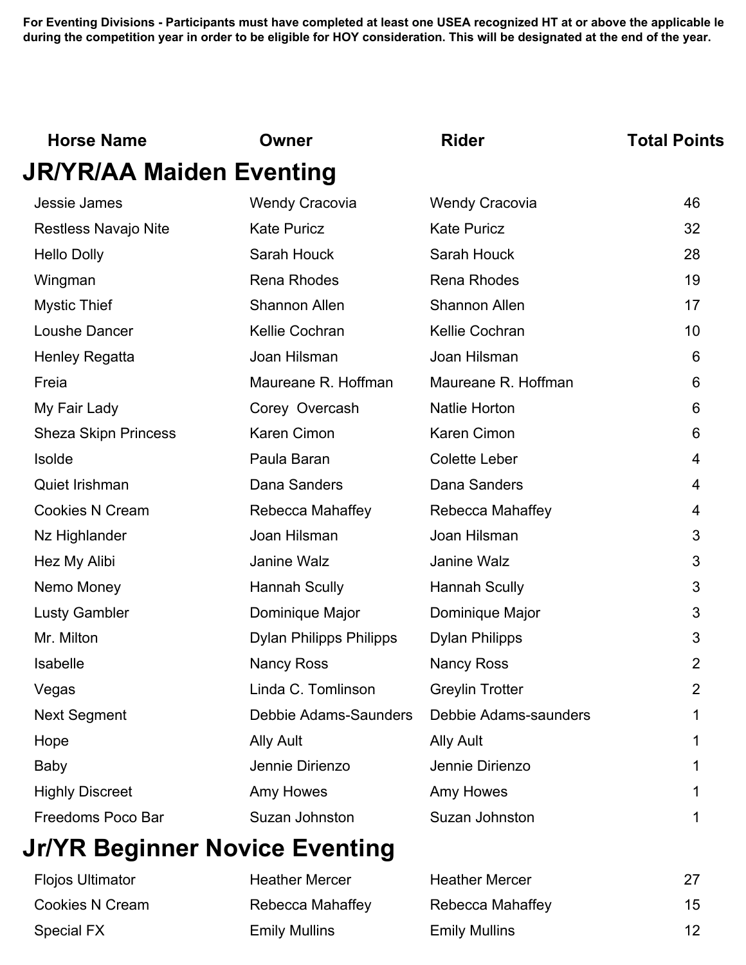| <b>Horse Name</b>           | Owner                          | <b>Rider</b>           | <b>Total Points</b> |
|-----------------------------|--------------------------------|------------------------|---------------------|
| JR/YR/AA Maiden Eventing    |                                |                        |                     |
| Jessie James                | <b>Wendy Cracovia</b>          | <b>Wendy Cracovia</b>  | 46                  |
| <b>Restless Navajo Nite</b> | <b>Kate Puricz</b>             | <b>Kate Puricz</b>     | 32                  |
| <b>Hello Dolly</b>          | Sarah Houck                    | Sarah Houck            | 28                  |
| Wingman                     | <b>Rena Rhodes</b>             | <b>Rena Rhodes</b>     | 19                  |
| <b>Mystic Thief</b>         | <b>Shannon Allen</b>           | <b>Shannon Allen</b>   | 17                  |
| Loushe Dancer               | Kellie Cochran                 | Kellie Cochran         | 10                  |
| <b>Henley Regatta</b>       | Joan Hilsman                   | Joan Hilsman           | 6                   |
| Freia                       | Maureane R. Hoffman            | Maureane R. Hoffman    | 6                   |
| My Fair Lady                | Corey Overcash                 | <b>Natlie Horton</b>   | 6                   |
| <b>Sheza Skipn Princess</b> | <b>Karen Cimon</b>             | Karen Cimon            | 6                   |
| Isolde                      | Paula Baran                    | <b>Colette Leber</b>   | 4                   |
| Quiet Irishman              | Dana Sanders                   | Dana Sanders           | 4                   |
| Cookies N Cream             | Rebecca Mahaffey               | Rebecca Mahaffey       | 4                   |
| Nz Highlander               | Joan Hilsman                   | Joan Hilsman           | 3                   |
| Hez My Alibi                | Janine Walz                    | Janine Walz            | 3                   |
| Nemo Money                  | <b>Hannah Scully</b>           | <b>Hannah Scully</b>   | 3                   |
| <b>Lusty Gambler</b>        | Dominique Major                | Dominique Major        | 3                   |
| Mr. Milton                  | <b>Dylan Philipps Philipps</b> | <b>Dylan Philipps</b>  | 3                   |
| Isabelle                    | <b>Nancy Ross</b>              | <b>Nancy Ross</b>      | $\overline{2}$      |
| Vegas                       | Linda C. Tomlinson             | <b>Greylin Trotter</b> | $\overline{2}$      |
| <b>Next Segment</b>         | Debbie Adams-Saunders          | Debbie Adams-saunders  |                     |
| Hope                        | <b>Ally Ault</b>               | <b>Ally Ault</b>       |                     |
| <b>Baby</b>                 | Jennie Dirienzo                | Jennie Dirienzo        |                     |
| <b>Highly Discreet</b>      | Amy Howes                      | Amy Howes              |                     |
| Freedoms Poco Bar           | Suzan Johnston                 | Suzan Johnston         |                     |

# **Jr/YR Beginner Novice Eventing**

| <b>Flojos Ultimator</b> | <b>Heather Mercer</b> | <b>Heather Mercer</b> | 27 |
|-------------------------|-----------------------|-----------------------|----|
| Cookies N Cream         | Rebecca Mahaffey      | Rebecca Mahaffey      | 15 |
| Special FX              | <b>Emily Mullins</b>  | <b>Emily Mullins</b>  | 12 |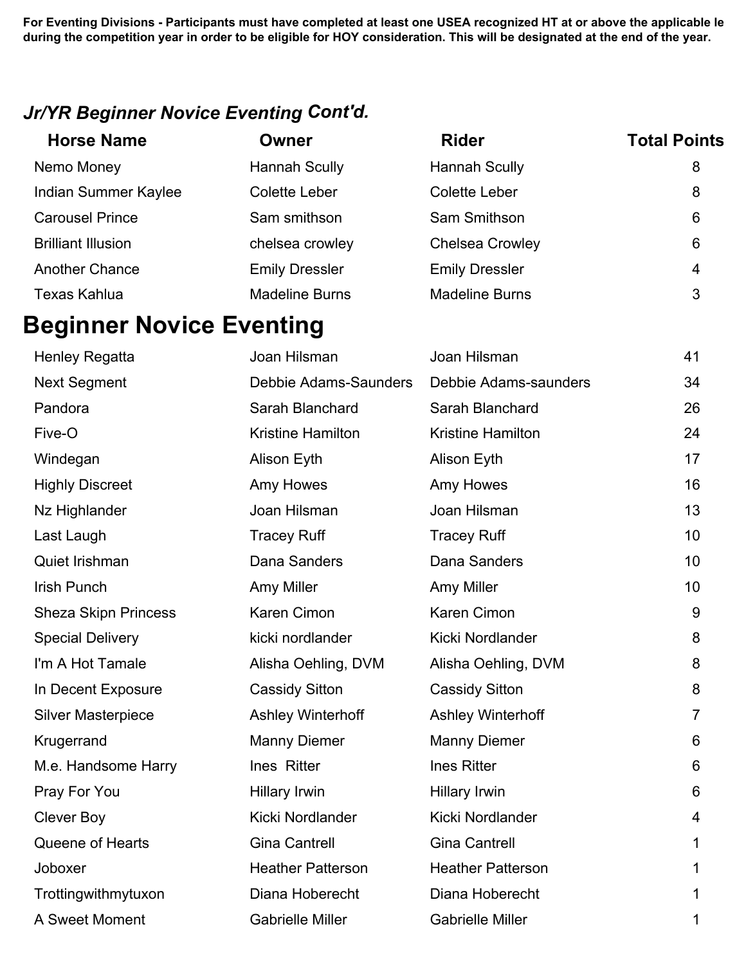#### *Jr/YR Beginner Novice Eventing Cont'd.*

| <b>Horse Name</b>         | Owner                 | <b>Rider</b>           | <b>Total Points</b> |
|---------------------------|-----------------------|------------------------|---------------------|
| Nemo Money                | Hannah Scully         | <b>Hannah Scully</b>   | 8                   |
| Indian Summer Kaylee      | Colette Leber         | Colette Leber          | 8                   |
| <b>Carousel Prince</b>    | Sam smithson          | Sam Smithson           | 6                   |
| <b>Brilliant Illusion</b> | chelsea crowley       | <b>Chelsea Crowley</b> | 6                   |
| <b>Another Chance</b>     | <b>Emily Dressler</b> | <b>Emily Dressler</b>  | 4                   |
| <b>Texas Kahlua</b>       | <b>Madeline Burns</b> | <b>Madeline Burns</b>  | 3                   |

# **Beginner Novice Eventing**

| <b>Henley Regatta</b>       | Joan Hilsman             | Joan Hilsman             | 41             |
|-----------------------------|--------------------------|--------------------------|----------------|
| <b>Next Segment</b>         | Debbie Adams-Saunders    | Debbie Adams-saunders    | 34             |
| Pandora                     | Sarah Blanchard          | Sarah Blanchard          | 26             |
| Five-O                      | <b>Kristine Hamilton</b> | <b>Kristine Hamilton</b> | 24             |
| Windegan                    | Alison Eyth              | Alison Eyth              | 17             |
| <b>Highly Discreet</b>      | Amy Howes                | Amy Howes                | 16             |
| Nz Highlander               | Joan Hilsman             | Joan Hilsman             | 13             |
| Last Laugh                  | <b>Tracey Ruff</b>       | <b>Tracey Ruff</b>       | 10             |
| Quiet Irishman              | Dana Sanders             | Dana Sanders             | 10             |
| <b>Irish Punch</b>          | Amy Miller               | Amy Miller               | 10             |
| <b>Sheza Skipn Princess</b> | Karen Cimon              | Karen Cimon              | 9              |
| <b>Special Delivery</b>     | kicki nordlander         | Kicki Nordlander         | 8              |
| I'm A Hot Tamale            | Alisha Oehling, DVM      | Alisha Oehling, DVM      | 8              |
| In Decent Exposure          | <b>Cassidy Sitton</b>    | <b>Cassidy Sitton</b>    | 8              |
| <b>Silver Masterpiece</b>   | <b>Ashley Winterhoff</b> | <b>Ashley Winterhoff</b> | $\overline{7}$ |
| Krugerrand                  | <b>Manny Diemer</b>      | <b>Manny Diemer</b>      | 6              |
| M.e. Handsome Harry         | Ines Ritter              | <b>Ines Ritter</b>       | $6\phantom{1}$ |
| Pray For You                | <b>Hillary Irwin</b>     | <b>Hillary Irwin</b>     | 6              |
| <b>Clever Boy</b>           | Kicki Nordlander         | Kicki Nordlander         | 4              |
| Queene of Hearts            | <b>Gina Cantrell</b>     | <b>Gina Cantrell</b>     | 1              |
| Joboxer                     | <b>Heather Patterson</b> | <b>Heather Patterson</b> | 1              |
| Trottingwithmytuxon         | Diana Hoberecht          | Diana Hoberecht          | 1              |
| A Sweet Moment              | <b>Gabrielle Miller</b>  | <b>Gabrielle Miller</b>  | 1              |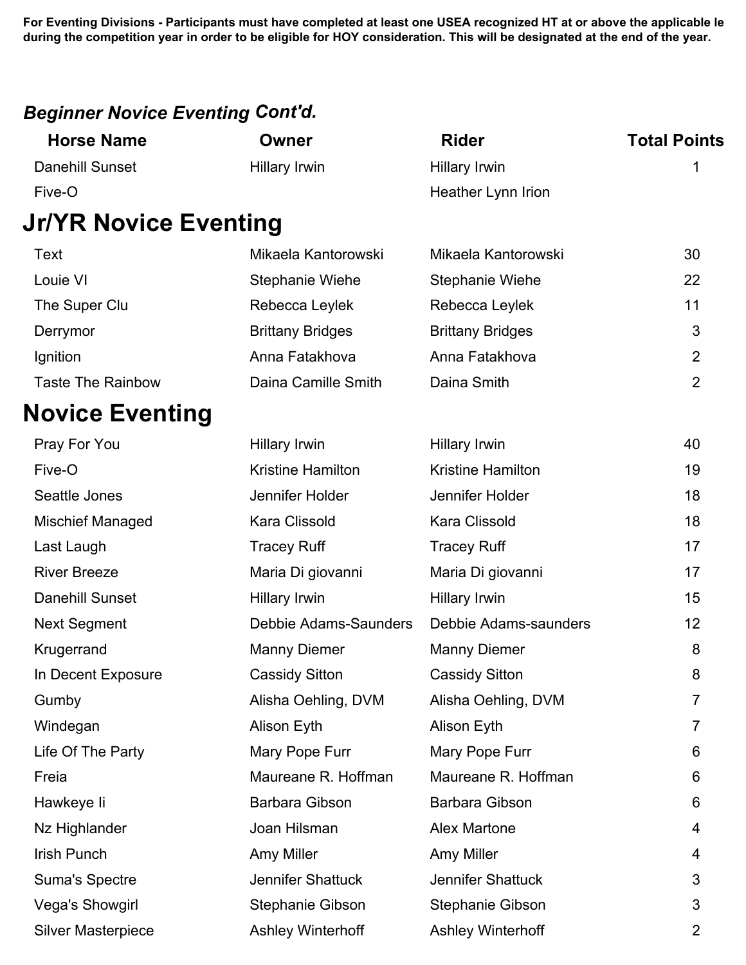#### *Beginner Novice Eventing Cont'd.*

| <b>Horse Name</b>            | <b>Owner</b>             | <b>Rider</b>             | <b>Total Points</b> |
|------------------------------|--------------------------|--------------------------|---------------------|
| <b>Danehill Sunset</b>       | Hillary Irwin            | <b>Hillary Irwin</b>     | 1                   |
| Five-O                       |                          | Heather Lynn Irion       |                     |
| <b>Jr/YR Novice Eventing</b> |                          |                          |                     |
| Text                         | Mikaela Kantorowski      | Mikaela Kantorowski      | 30                  |
| Louie VI                     | Stephanie Wiehe          | <b>Stephanie Wiehe</b>   | 22                  |
| The Super Clu                | Rebecca Leylek           | Rebecca Leylek           | 11                  |
| Derrymor                     | <b>Brittany Bridges</b>  | <b>Brittany Bridges</b>  | 3                   |
| Ignition                     | Anna Fatakhova           | Anna Fatakhova           | $\overline{2}$      |
| <b>Taste The Rainbow</b>     | Daina Camille Smith      | Daina Smith              | $\overline{2}$      |
| <b>Novice Eventing</b>       |                          |                          |                     |
| Pray For You                 | Hillary Irwin            | <b>Hillary Irwin</b>     | 40                  |
| Five-O                       | <b>Kristine Hamilton</b> | <b>Kristine Hamilton</b> | 19                  |
| Seattle Jones                | Jennifer Holder          | Jennifer Holder          | 18                  |
| <b>Mischief Managed</b>      | <b>Kara Clissold</b>     | Kara Clissold            | 18                  |
| Last Laugh                   | <b>Tracey Ruff</b>       | <b>Tracey Ruff</b>       | 17                  |
| <b>River Breeze</b>          | Maria Di giovanni        | Maria Di giovanni        | 17                  |
| <b>Danehill Sunset</b>       | Hillary Irwin            | Hillary Irwin            | 15                  |
| <b>Next Segment</b>          | Debbie Adams-Saunders    | Debbie Adams-saunders    | 12                  |
| Krugerrand                   | <b>Manny Diemer</b>      | <b>Manny Diemer</b>      | 8                   |
| In Decent Exposure           | <b>Cassidy Sitton</b>    | <b>Cassidy Sitton</b>    | 8                   |
| Gumby                        | Alisha Oehling, DVM      | Alisha Oehling, DVM      | 7                   |
| Windegan                     | Alison Eyth              | Alison Eyth              | 7                   |
| Life Of The Party            | Mary Pope Furr           | Mary Pope Furr           | 6                   |
| Freia                        | Maureane R. Hoffman      | Maureane R. Hoffman      | 6                   |
| Hawkeye li                   | Barbara Gibson           | <b>Barbara Gibson</b>    | 6                   |
| Nz Highlander                | Joan Hilsman             | <b>Alex Martone</b>      | 4                   |
| Irish Punch                  | Amy Miller               | Amy Miller               | 4                   |
| <b>Suma's Spectre</b>        | Jennifer Shattuck        | Jennifer Shattuck        | 3                   |
| Vega's Showgirl              | <b>Stephanie Gibson</b>  | <b>Stephanie Gibson</b>  | 3                   |
| <b>Silver Masterpiece</b>    | <b>Ashley Winterhoff</b> | <b>Ashley Winterhoff</b> | $\overline{2}$      |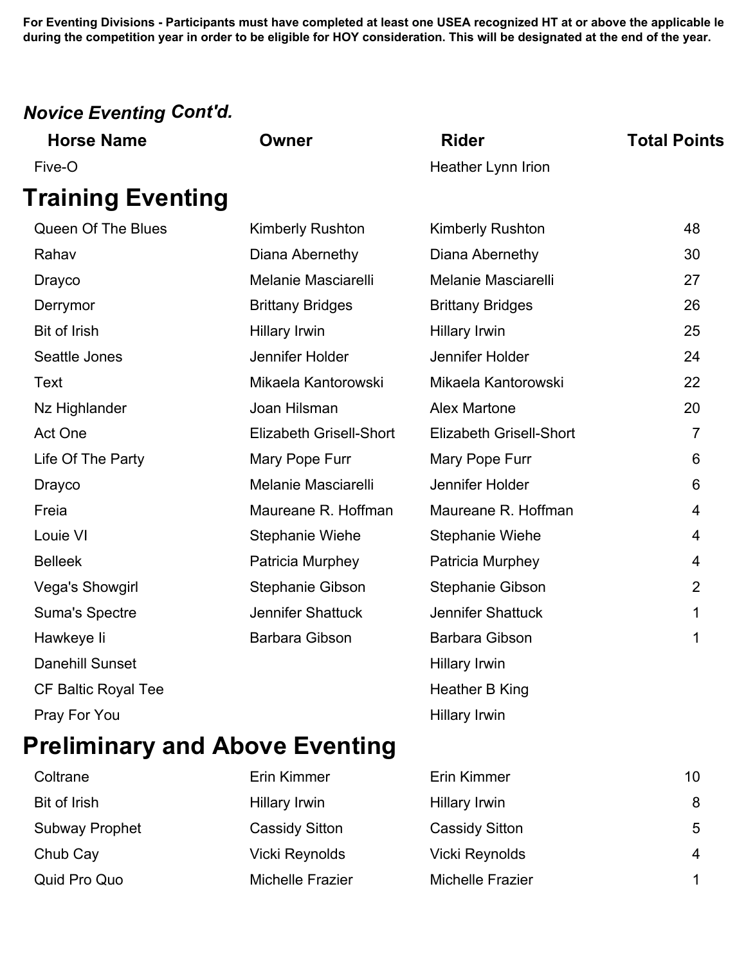### *Novice Eventing Cont'd.*

| <b>Horse Name</b>          | <b>Owner</b>                   | <b>Rider</b>                   | <b>Total Points</b> |
|----------------------------|--------------------------------|--------------------------------|---------------------|
| Five-O                     |                                | Heather Lynn Irion             |                     |
| <b>Training Eventing</b>   |                                |                                |                     |
| Queen Of The Blues         | <b>Kimberly Rushton</b>        | Kimberly Rushton               | 48                  |
| Rahav                      | Diana Abernethy                | Diana Abernethy                | 30                  |
| <b>Drayco</b>              | Melanie Masciarelli            | Melanie Masciarelli            | 27                  |
| Derrymor                   | <b>Brittany Bridges</b>        | <b>Brittany Bridges</b>        | 26                  |
| <b>Bit of Irish</b>        | Hillary Irwin                  | <b>Hillary Irwin</b>           | 25                  |
| Seattle Jones              | Jennifer Holder                | Jennifer Holder                | 24                  |
| <b>Text</b>                | Mikaela Kantorowski            | Mikaela Kantorowski            | 22                  |
| Nz Highlander              | Joan Hilsman                   | <b>Alex Martone</b>            | 20                  |
| Act One                    | <b>Elizabeth Grisell-Short</b> | <b>Elizabeth Grisell-Short</b> | $\overline{7}$      |
| Life Of The Party          | Mary Pope Furr                 | Mary Pope Furr                 | 6                   |
| <b>Drayco</b>              | Melanie Masciarelli            | Jennifer Holder                | 6                   |
| Freia                      | Maureane R. Hoffman            | Maureane R. Hoffman            | 4                   |
| Louie VI                   | Stephanie Wiehe                | <b>Stephanie Wiehe</b>         | 4                   |
| <b>Belleek</b>             | Patricia Murphey               | Patricia Murphey               | 4                   |
| Vega's Showgirl            | Stephanie Gibson               | <b>Stephanie Gibson</b>        | $\overline{2}$      |
| <b>Suma's Spectre</b>      | <b>Jennifer Shattuck</b>       | Jennifer Shattuck              | 1                   |
| Hawkeye li                 | <b>Barbara Gibson</b>          | Barbara Gibson                 | 1                   |
| <b>Danehill Sunset</b>     |                                | Hillary Irwin                  |                     |
| <b>CF Baltic Royal Tee</b> |                                | Heather B King                 |                     |
| Pray For You               |                                | <b>Hillary Irwin</b>           |                     |

# **Preliminary and Above Eventing**

| Coltrane              | Erin Kimmer           | Erin Kimmer           | 10             |
|-----------------------|-----------------------|-----------------------|----------------|
| Bit of Irish          | Hillary Irwin         | <b>Hillary Irwin</b>  | 8              |
| <b>Subway Prophet</b> | <b>Cassidy Sitton</b> | <b>Cassidy Sitton</b> | 5              |
| Chub Cay              | Vicki Reynolds        | <b>Vicki Reynolds</b> | $\overline{4}$ |
| Quid Pro Quo          | Michelle Frazier      | Michelle Frazier      |                |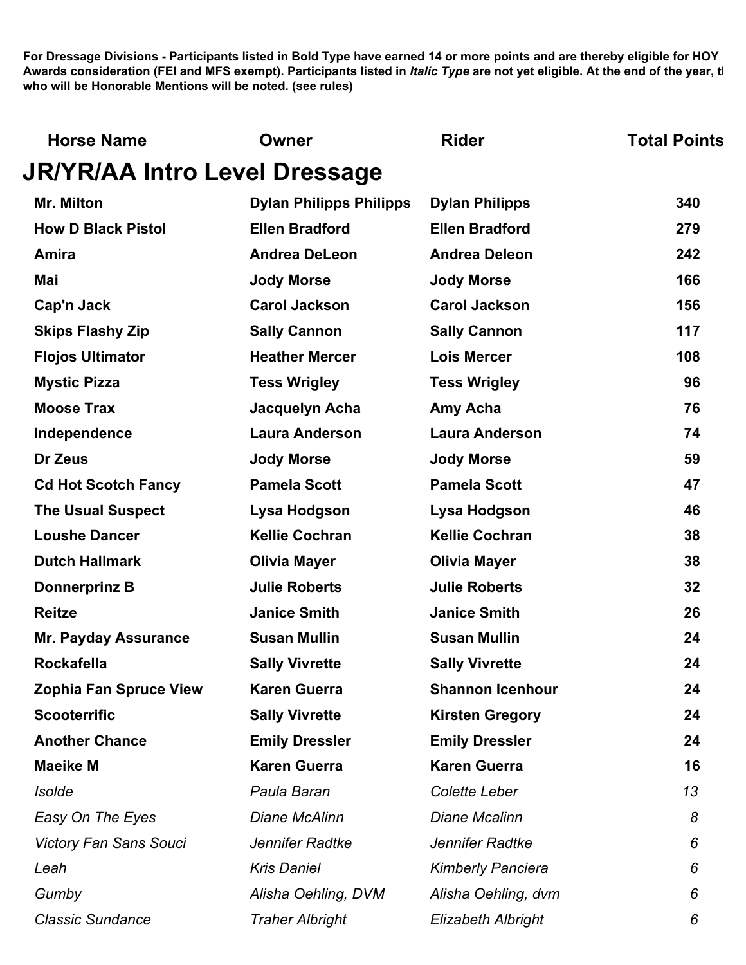| <b>Horse Name</b>                    | Owner                          | <b>Rider</b>              | <b>Total Points</b> |
|--------------------------------------|--------------------------------|---------------------------|---------------------|
| <b>JR/YR/AA Intro Level Dressage</b> |                                |                           |                     |
| <b>Mr. Milton</b>                    | <b>Dylan Philipps Philipps</b> | <b>Dylan Philipps</b>     | 340                 |
| <b>How D Black Pistol</b>            | <b>Ellen Bradford</b>          | <b>Ellen Bradford</b>     | 279                 |
| Amira                                | <b>Andrea DeLeon</b>           | <b>Andrea Deleon</b>      | 242                 |
| Mai                                  | <b>Jody Morse</b>              | <b>Jody Morse</b>         | 166                 |
| Cap'n Jack                           | <b>Carol Jackson</b>           | <b>Carol Jackson</b>      | 156                 |
| <b>Skips Flashy Zip</b>              | <b>Sally Cannon</b>            | <b>Sally Cannon</b>       | 117                 |
| <b>Flojos Ultimator</b>              | <b>Heather Mercer</b>          | <b>Lois Mercer</b>        | 108                 |
| <b>Mystic Pizza</b>                  | <b>Tess Wrigley</b>            | <b>Tess Wrigley</b>       | 96                  |
| <b>Moose Trax</b>                    | Jacquelyn Acha                 | Amy Acha                  | 76                  |
| Independence                         | <b>Laura Anderson</b>          | <b>Laura Anderson</b>     | 74                  |
| Dr Zeus                              | <b>Jody Morse</b>              | <b>Jody Morse</b>         | 59                  |
| <b>Cd Hot Scotch Fancy</b>           | <b>Pamela Scott</b>            | <b>Pamela Scott</b>       | 47                  |
| <b>The Usual Suspect</b>             | Lysa Hodgson                   | Lysa Hodgson              | 46                  |
| <b>Loushe Dancer</b>                 | <b>Kellie Cochran</b>          | <b>Kellie Cochran</b>     | 38                  |
| <b>Dutch Hallmark</b>                | <b>Olivia Mayer</b>            | <b>Olivia Mayer</b>       | 38                  |
| <b>Donnerprinz B</b>                 | <b>Julie Roberts</b>           | <b>Julie Roberts</b>      | 32                  |
| <b>Reitze</b>                        | <b>Janice Smith</b>            | <b>Janice Smith</b>       | 26                  |
| <b>Mr. Payday Assurance</b>          | <b>Susan Mullin</b>            | <b>Susan Mullin</b>       | 24                  |
| <b>Rockafella</b>                    | <b>Sally Vivrette</b>          | <b>Sally Vivrette</b>     | 24                  |
| <b>Zophia Fan Spruce View</b>        | <b>Karen Guerra</b>            | <b>Shannon Icenhour</b>   | 24                  |
| <b>Scooterrific</b>                  | <b>Sally Vivrette</b>          | <b>Kirsten Gregory</b>    | 24                  |
| <b>Another Chance</b>                | <b>Emily Dressler</b>          | <b>Emily Dressler</b>     | 24                  |
| <b>Maeike M</b>                      | <b>Karen Guerra</b>            | <b>Karen Guerra</b>       | 16                  |
| <b>Isolde</b>                        | Paula Baran                    | Colette Leber             | 13                  |
| Easy On The Eyes                     | Diane McAlinn                  | <b>Diane Mcalinn</b>      | 8                   |
| <b>Victory Fan Sans Souci</b>        | Jennifer Radtke                | Jennifer Radtke           | 6                   |
| Leah                                 | <b>Kris Daniel</b>             | <b>Kimberly Panciera</b>  | 6                   |
| Gumby                                | Alisha Oehling, DVM            | Alisha Oehling, dvm       | 6                   |
| <b>Classic Sundance</b>              | <b>Traher Albright</b>         | <b>Elizabeth Albright</b> | 6                   |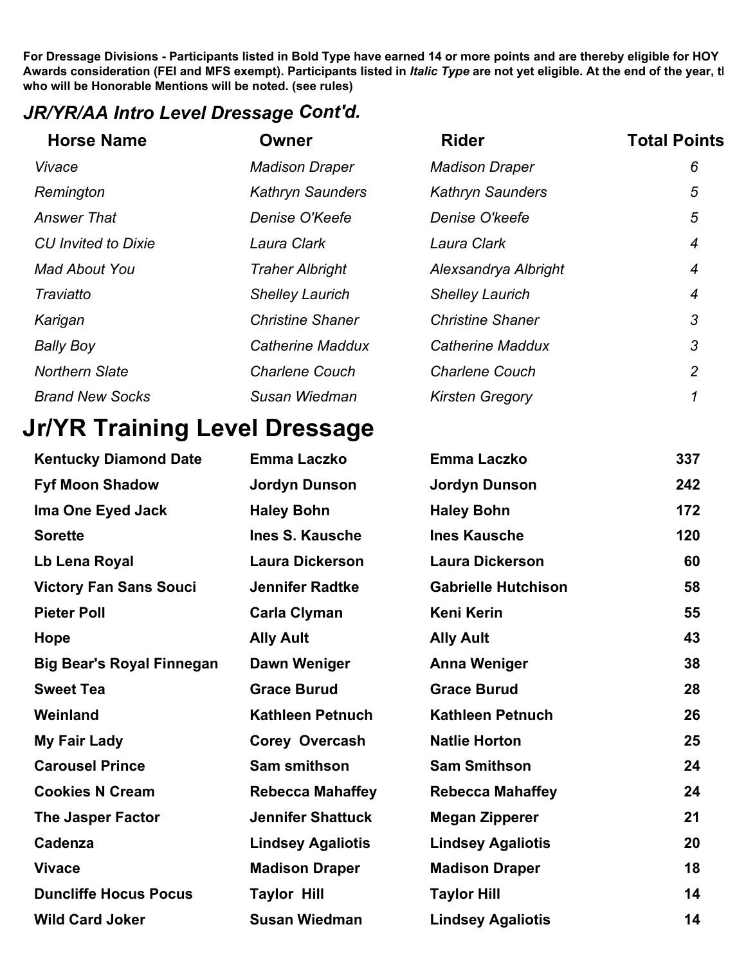#### *JR/YR/AA Intro Level Dressage Cont'd.*

| <b>Horse Name</b>          | Owner                   | <b>Rider</b>            | <b>Total Points</b> |
|----------------------------|-------------------------|-------------------------|---------------------|
| Vivace                     | <b>Madison Draper</b>   | <b>Madison Draper</b>   | 6                   |
| Remington                  | <b>Kathryn Saunders</b> | <b>Kathryn Saunders</b> | 5                   |
| <b>Answer That</b>         | Denise O'Keefe          | Denise O'keefe          | 5                   |
| <b>CU</b> Invited to Dixie | Laura Clark             | Laura Clark             | 4                   |
| <b>Mad About You</b>       | <b>Traher Albright</b>  | Alexsandrya Albright    | 4                   |
| Traviatto                  | <b>Shelley Laurich</b>  | <b>Shelley Laurich</b>  | 4                   |
| Karigan                    | <b>Christine Shaner</b> | <b>Christine Shaner</b> | 3                   |
| <b>Bally Boy</b>           | <b>Catherine Maddux</b> | <b>Catherine Maddux</b> | 3                   |
| <b>Northern Slate</b>      | <b>Charlene Couch</b>   | <b>Charlene Couch</b>   | $\overline{2}$      |
| <b>Brand New Socks</b>     | Susan Wiedman           | <b>Kirsten Gregory</b>  |                     |

# **Jr/YR Training Level Dressage**

| <b>Kentucky Diamond Date</b>     | <b>Emma Laczko</b>       | <b>Emma Laczko</b>         | 337 |
|----------------------------------|--------------------------|----------------------------|-----|
| <b>Fyf Moon Shadow</b>           | <b>Jordyn Dunson</b>     | <b>Jordyn Dunson</b>       | 242 |
| Ima One Eyed Jack                | <b>Haley Bohn</b>        | <b>Haley Bohn</b>          | 172 |
| <b>Sorette</b>                   | <b>Ines S. Kausche</b>   | <b>Ines Kausche</b>        | 120 |
| Lb Lena Royal                    | <b>Laura Dickerson</b>   | <b>Laura Dickerson</b>     | 60  |
| <b>Victory Fan Sans Souci</b>    | <b>Jennifer Radtke</b>   | <b>Gabrielle Hutchison</b> | 58  |
| <b>Pieter Poll</b>               | <b>Carla Clyman</b>      | <b>Keni Kerin</b>          | 55  |
| <b>Hope</b>                      | <b>Ally Ault</b>         | <b>Ally Ault</b>           | 43  |
| <b>Big Bear's Royal Finnegan</b> | Dawn Weniger             | <b>Anna Weniger</b>        | 38  |
| <b>Sweet Tea</b>                 | <b>Grace Burud</b>       | <b>Grace Burud</b>         | 28  |
| Weinland                         | <b>Kathleen Petnuch</b>  | <b>Kathleen Petnuch</b>    | 26  |
| My Fair Lady                     | Corey Overcash           | <b>Natlie Horton</b>       | 25  |
| <b>Carousel Prince</b>           | <b>Sam smithson</b>      | <b>Sam Smithson</b>        | 24  |
| <b>Cookies N Cream</b>           | <b>Rebecca Mahaffey</b>  | <b>Rebecca Mahaffey</b>    | 24  |
| <b>The Jasper Factor</b>         | <b>Jennifer Shattuck</b> | <b>Megan Zipperer</b>      | 21  |
| Cadenza                          | <b>Lindsey Agaliotis</b> | <b>Lindsey Agaliotis</b>   | 20  |
| <b>Vivace</b>                    | <b>Madison Draper</b>    | <b>Madison Draper</b>      | 18  |
| <b>Duncliffe Hocus Pocus</b>     | <b>Taylor Hill</b>       | <b>Taylor Hill</b>         | 14  |
| <b>Wild Card Joker</b>           | <b>Susan Wiedman</b>     | <b>Lindsey Agaliotis</b>   | 14  |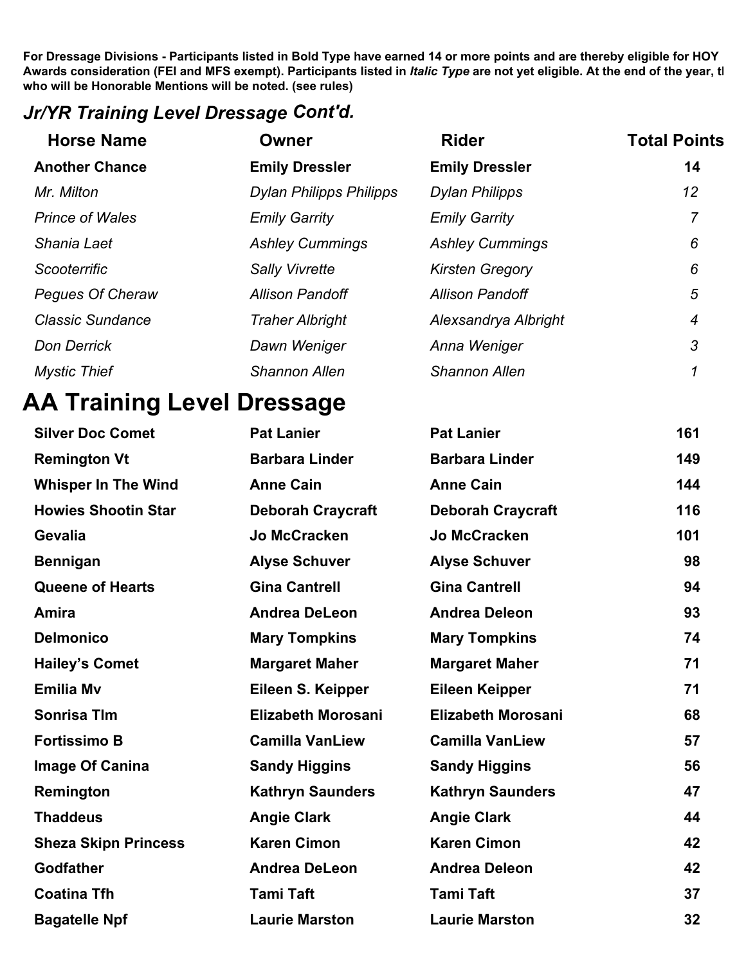#### *Jr/YR Training Level Dressage Cont'd.*

| <b>Horse Name</b>       | Owner                          | <b>Rider</b>           | <b>Total Points</b> |
|-------------------------|--------------------------------|------------------------|---------------------|
| <b>Another Chance</b>   | <b>Emily Dressler</b>          | <b>Emily Dressler</b>  | 14                  |
| Mr. Milton              | <b>Dylan Philipps Philipps</b> | <b>Dylan Philipps</b>  | 12                  |
| <b>Prince of Wales</b>  | <b>Emily Garrity</b>           | <b>Emily Garrity</b>   | 7                   |
| Shania Laet             | <b>Ashley Cummings</b>         | <b>Ashley Cummings</b> | 6                   |
| Scooterrific            | <b>Sally Vivrette</b>          | <b>Kirsten Gregory</b> | 6                   |
| <b>Pegues Of Cheraw</b> | <b>Allison Pandoff</b>         | <b>Allison Pandoff</b> | 5                   |
| <b>Classic Sundance</b> | <b>Traher Albright</b>         | Alexsandrya Albright   | 4                   |
| <b>Don Derrick</b>      | Dawn Weniger                   | Anna Weniger           | 3                   |
| <b>Mystic Thief</b>     | <b>Shannon Allen</b>           | <b>Shannon Allen</b>   |                     |

### **AA Training Level Dressage**

| <b>Silver Doc Comet</b>     | <b>Pat Lanier</b>         | <b>Pat Lanier</b>         | 161 |
|-----------------------------|---------------------------|---------------------------|-----|
| <b>Remington Vt</b>         | <b>Barbara Linder</b>     | <b>Barbara Linder</b>     | 149 |
| <b>Whisper In The Wind</b>  | <b>Anne Cain</b>          | <b>Anne Cain</b>          | 144 |
| <b>Howies Shootin Star</b>  | <b>Deborah Craycraft</b>  | <b>Deborah Craycraft</b>  | 116 |
| <b>Gevalia</b>              | <b>Jo McCracken</b>       | <b>Jo McCracken</b>       | 101 |
| <b>Bennigan</b>             | <b>Alyse Schuver</b>      | <b>Alyse Schuver</b>      | 98  |
| <b>Queene of Hearts</b>     | <b>Gina Cantrell</b>      | <b>Gina Cantrell</b>      | 94  |
| Amira                       | <b>Andrea DeLeon</b>      | <b>Andrea Deleon</b>      | 93  |
| <b>Delmonico</b>            | <b>Mary Tompkins</b>      | <b>Mary Tompkins</b>      | 74  |
| <b>Hailey's Comet</b>       | <b>Margaret Maher</b>     | <b>Margaret Maher</b>     | 71  |
| <b>Emilia Mv</b>            | Eileen S. Keipper         | <b>Eileen Keipper</b>     | 71  |
| <b>Sonrisa TIm</b>          | <b>Elizabeth Morosani</b> | <b>Elizabeth Morosani</b> | 68  |
| <b>Fortissimo B</b>         | <b>Camilla VanLiew</b>    | <b>Camilla VanLiew</b>    | 57  |
| <b>Image Of Canina</b>      | <b>Sandy Higgins</b>      | <b>Sandy Higgins</b>      | 56  |
| Remington                   | <b>Kathryn Saunders</b>   | <b>Kathryn Saunders</b>   | 47  |
| <b>Thaddeus</b>             | <b>Angie Clark</b>        | <b>Angie Clark</b>        | 44  |
| <b>Sheza Skipn Princess</b> | <b>Karen Cimon</b>        | <b>Karen Cimon</b>        | 42  |
| <b>Godfather</b>            | <b>Andrea DeLeon</b>      | <b>Andrea Deleon</b>      | 42  |
| <b>Coatina Tfh</b>          | <b>Tami Taft</b>          | <b>Tami Taft</b>          | 37  |
| <b>Bagatelle Npf</b>        | <b>Laurie Marston</b>     | <b>Laurie Marston</b>     | 32  |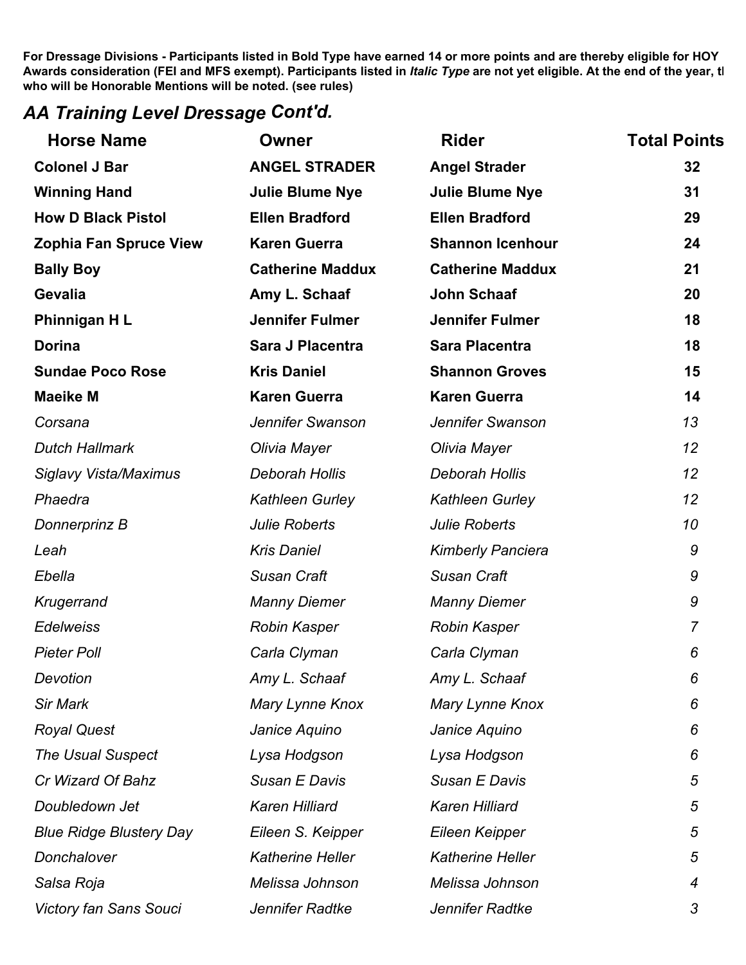#### *AA Training Level Dressage Cont'd.*

| <b>Horse Name</b>              | Owner                   | <b>Rider</b>             | <b>Total Points</b> |
|--------------------------------|-------------------------|--------------------------|---------------------|
| <b>Colonel J Bar</b>           | <b>ANGEL STRADER</b>    | <b>Angel Strader</b>     | 32                  |
| <b>Winning Hand</b>            | <b>Julie Blume Nye</b>  | <b>Julie Blume Nye</b>   | 31                  |
| <b>How D Black Pistol</b>      | <b>Ellen Bradford</b>   | <b>Ellen Bradford</b>    | 29                  |
| <b>Zophia Fan Spruce View</b>  | <b>Karen Guerra</b>     | <b>Shannon Icenhour</b>  | 24                  |
| <b>Bally Boy</b>               | <b>Catherine Maddux</b> | <b>Catherine Maddux</b>  | 21                  |
| Gevalia                        | Amy L. Schaaf           | John Schaaf              | 20                  |
| Phinnigan HL                   | <b>Jennifer Fulmer</b>  | <b>Jennifer Fulmer</b>   | 18                  |
| <b>Dorina</b>                  | Sara J Placentra        | <b>Sara Placentra</b>    | 18                  |
| <b>Sundae Poco Rose</b>        | <b>Kris Daniel</b>      | <b>Shannon Groves</b>    | 15                  |
| <b>Maeike M</b>                | <b>Karen Guerra</b>     | <b>Karen Guerra</b>      | 14                  |
| Corsana                        | Jennifer Swanson        | Jennifer Swanson         | 13                  |
| <b>Dutch Hallmark</b>          | Olivia Mayer            | Olivia Mayer             | 12                  |
| <b>Siglavy Vista/Maximus</b>   | Deborah Hollis          | Deborah Hollis           | 12                  |
| Phaedra                        | Kathleen Gurley         | Kathleen Gurley          | 12                  |
| Donnerprinz B                  | <b>Julie Roberts</b>    | <b>Julie Roberts</b>     | 10                  |
| Leah                           | <b>Kris Daniel</b>      | <b>Kimberly Panciera</b> | 9                   |
| Ebella                         | Susan Craft             | <b>Susan Craft</b>       | 9                   |
| Krugerrand                     | <b>Manny Diemer</b>     | <b>Manny Diemer</b>      | 9                   |
| <b>Edelweiss</b>               | Robin Kasper            | <b>Robin Kasper</b>      | $\overline{7}$      |
| <b>Pieter Poll</b>             | Carla Clyman            | Carla Clyman             | 6                   |
| Devotion                       | Amy L. Schaaf           | Amy L. Schaaf            | 6                   |
| <b>Sir Mark</b>                | Mary Lynne Knox         | Mary Lynne Knox          | 6                   |
| <b>Royal Quest</b>             | Janice Aquino           | Janice Aquino            | 6                   |
| <b>The Usual Suspect</b>       | Lysa Hodgson            | Lysa Hodgson             | 6                   |
| Cr Wizard Of Bahz              | Susan E Davis           | Susan E Davis            | 5                   |
| Doubledown Jet                 | Karen Hilliard          | <b>Karen Hilliard</b>    | 5                   |
| <b>Blue Ridge Blustery Day</b> | Eileen S. Keipper       | Eileen Keipper           | 5                   |
| Donchalover                    | <b>Katherine Heller</b> | <b>Katherine Heller</b>  | 5                   |
| Salsa Roja                     | Melissa Johnson         | Melissa Johnson          | 4                   |
| <b>Victory fan Sans Souci</b>  | Jennifer Radtke         | Jennifer Radtke          | 3                   |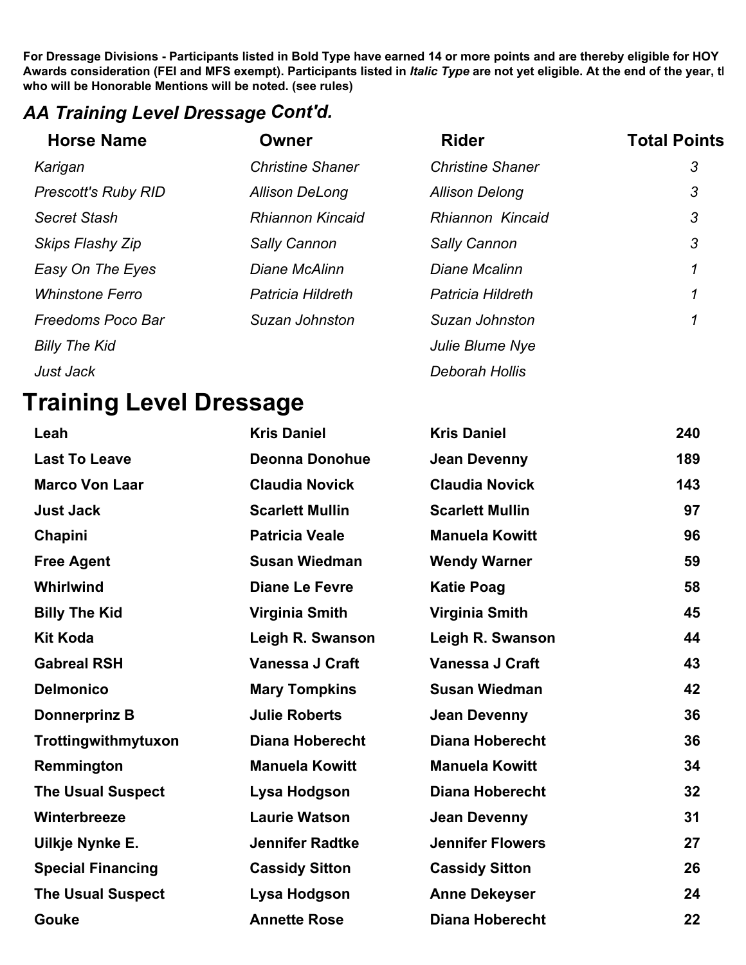#### *AA Training Level Dressage Cont'd.*

| <b>Horse Name</b>          | Owner                   | <b>Rider</b>            | <b>Total Points</b> |
|----------------------------|-------------------------|-------------------------|---------------------|
| Karigan                    | <b>Christine Shaner</b> | <b>Christine Shaner</b> | 3                   |
| <b>Prescott's Ruby RID</b> | <b>Allison DeLong</b>   | <b>Allison Delong</b>   | 3                   |
| Secret Stash               | <b>Rhiannon Kincaid</b> | Rhiannon Kincaid        | 3                   |
| Skips Flashy Zip           | <b>Sally Cannon</b>     | <b>Sally Cannon</b>     | 3                   |
| Easy On The Eyes           | Diane McAlinn           | Diane Mcalinn           | 1                   |
| <b>Whinstone Ferro</b>     | Patricia Hildreth       | Patricia Hildreth       | 1                   |
| Freedoms Poco Bar          | Suzan Johnston          | Suzan Johnston          | 1                   |
| <b>Billy The Kid</b>       |                         | Julie Blume Nye         |                     |
| Just Jack                  |                         | Deborah Hollis          |                     |

# **Training Level Dressage**

| Leah                     | <b>Kris Daniel</b>     | <b>Kris Daniel</b>      | 240 |
|--------------------------|------------------------|-------------------------|-----|
| <b>Last To Leave</b>     | <b>Deonna Donohue</b>  | <b>Jean Devenny</b>     | 189 |
| <b>Marco Von Laar</b>    | <b>Claudia Novick</b>  | <b>Claudia Novick</b>   | 143 |
| <b>Just Jack</b>         | <b>Scarlett Mullin</b> | <b>Scarlett Mullin</b>  | 97  |
| Chapini                  | <b>Patricia Veale</b>  | <b>Manuela Kowitt</b>   | 96  |
| <b>Free Agent</b>        | <b>Susan Wiedman</b>   | <b>Wendy Warner</b>     | 59  |
| Whirlwind                | <b>Diane Le Fevre</b>  | <b>Katie Poag</b>       | 58  |
| <b>Billy The Kid</b>     | Virginia Smith         | <b>Virginia Smith</b>   | 45  |
| <b>Kit Koda</b>          | Leigh R. Swanson       | Leigh R. Swanson        | 44  |
| <b>Gabreal RSH</b>       | Vanessa J Craft        | Vanessa J Craft         | 43  |
| <b>Delmonico</b>         | <b>Mary Tompkins</b>   | <b>Susan Wiedman</b>    | 42  |
| <b>Donnerprinz B</b>     | <b>Julie Roberts</b>   | <b>Jean Devenny</b>     | 36  |
| Trottingwithmytuxon      | <b>Diana Hoberecht</b> | <b>Diana Hoberecht</b>  | 36  |
| Remmington               | <b>Manuela Kowitt</b>  | <b>Manuela Kowitt</b>   | 34  |
| <b>The Usual Suspect</b> | Lysa Hodgson           | <b>Diana Hoberecht</b>  | 32  |
| Winterbreeze             | <b>Laurie Watson</b>   | <b>Jean Devenny</b>     | 31  |
| Uilkje Nynke E.          | <b>Jennifer Radtke</b> | <b>Jennifer Flowers</b> | 27  |
| <b>Special Financing</b> | <b>Cassidy Sitton</b>  | <b>Cassidy Sitton</b>   | 26  |
| <b>The Usual Suspect</b> | Lysa Hodgson           | <b>Anne Dekeyser</b>    | 24  |
| Gouke                    | <b>Annette Rose</b>    | <b>Diana Hoberecht</b>  | 22  |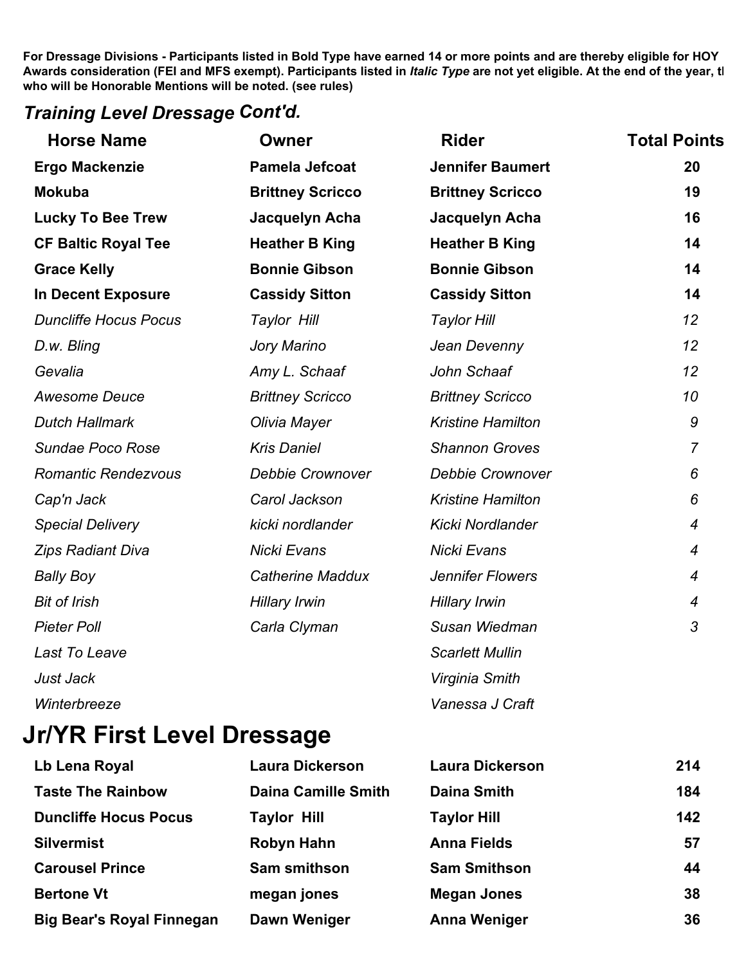#### *Training Level Dressage Cont'd.*

| <b>Horse Name</b>            | <b>Owner</b>            | <b>Rider</b>             | <b>Total Points</b> |
|------------------------------|-------------------------|--------------------------|---------------------|
| <b>Ergo Mackenzie</b>        | <b>Pamela Jefcoat</b>   | <b>Jennifer Baumert</b>  | 20                  |
| <b>Mokuba</b>                | <b>Brittney Scricco</b> | <b>Brittney Scricco</b>  | 19                  |
| <b>Lucky To Bee Trew</b>     | Jacquelyn Acha          | Jacquelyn Acha           | 16                  |
| <b>CF Baltic Royal Tee</b>   | <b>Heather B King</b>   | <b>Heather B King</b>    | 14                  |
| <b>Grace Kelly</b>           | <b>Bonnie Gibson</b>    | <b>Bonnie Gibson</b>     | 14                  |
| In Decent Exposure           | <b>Cassidy Sitton</b>   | <b>Cassidy Sitton</b>    | 14                  |
| <b>Duncliffe Hocus Pocus</b> | Taylor Hill             | <b>Taylor Hill</b>       | 12                  |
| D.w. Bling                   | Jory Marino             | Jean Devenny             | 12                  |
| Gevalia                      | Amy L. Schaaf           | John Schaaf              | 12                  |
| <b>Awesome Deuce</b>         | <b>Brittney Scricco</b> | <b>Brittney Scricco</b>  | 10                  |
| <b>Dutch Hallmark</b>        | Olivia Mayer            | <b>Kristine Hamilton</b> | 9                   |
| Sundae Poco Rose             | <b>Kris Daniel</b>      | <b>Shannon Groves</b>    | $\overline{7}$      |
| <b>Romantic Rendezvous</b>   | <b>Debbie Crownover</b> | <b>Debbie Crownover</b>  | 6                   |
| Cap'n Jack                   | Carol Jackson           | <b>Kristine Hamilton</b> | 6                   |
| <b>Special Delivery</b>      | kicki nordlander        | Kicki Nordlander         | $\overline{4}$      |
| <b>Zips Radiant Diva</b>     | Nicki Evans             | Nicki Evans              | $\overline{4}$      |
| <b>Bally Boy</b>             | <b>Catherine Maddux</b> | <b>Jennifer Flowers</b>  | $\overline{4}$      |
| <b>Bit of Irish</b>          | <b>Hillary Irwin</b>    | <b>Hillary Irwin</b>     | 4                   |
| <b>Pieter Poll</b>           | Carla Clyman            | Susan Wiedman            | 3                   |
| Last To Leave                |                         | <b>Scarlett Mullin</b>   |                     |
| Just Jack                    |                         | Virginia Smith           |                     |
| Winterbreeze                 |                         | Vanessa J Craft          |                     |

### **Jr/YR First Level Dressage**

| Lb Lena Royal                    | <b>Laura Dickerson</b>     | <b>Laura Dickerson</b> | 214 |
|----------------------------------|----------------------------|------------------------|-----|
| <b>Taste The Rainbow</b>         | <b>Daina Camille Smith</b> | <b>Daina Smith</b>     | 184 |
| <b>Duncliffe Hocus Pocus</b>     | <b>Taylor Hill</b>         | <b>Taylor Hill</b>     | 142 |
| <b>Silvermist</b>                | Robyn Hahn                 | <b>Anna Fields</b>     | 57  |
| <b>Carousel Prince</b>           | <b>Sam smithson</b>        | <b>Sam Smithson</b>    | 44  |
| <b>Bertone Vt</b>                | megan jones                | <b>Megan Jones</b>     | 38  |
| <b>Big Bear's Royal Finnegan</b> | Dawn Weniger               | <b>Anna Weniger</b>    | 36  |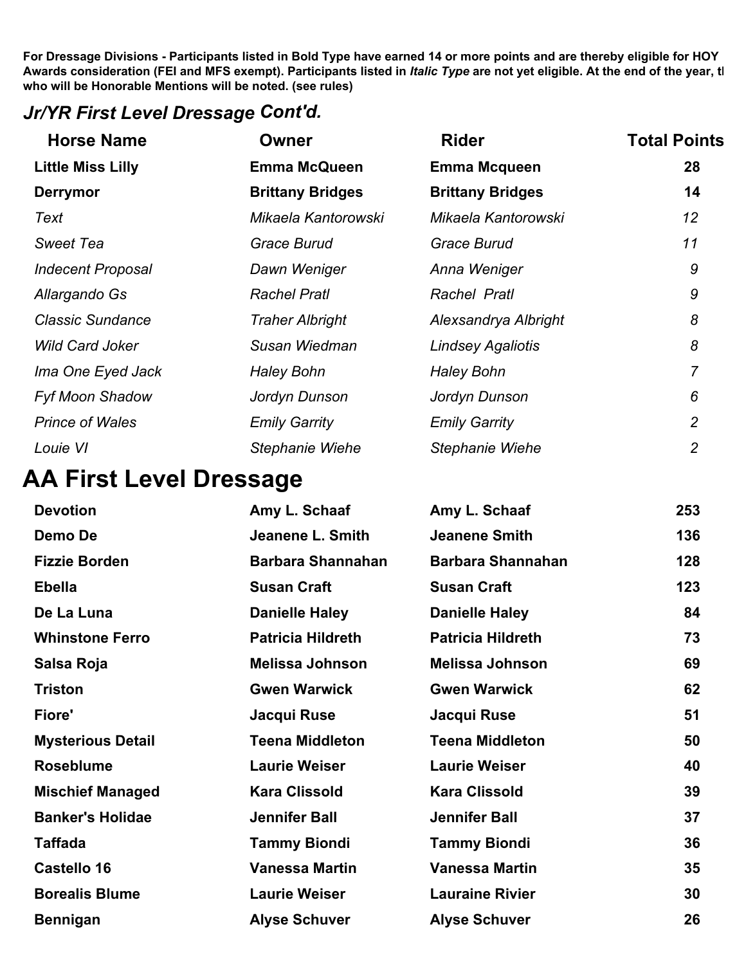### *Jr/YR First Level Dressage Cont'd.*

| <b>Horse Name</b>        | <b>Owner</b>            | <b>Rider</b>             | <b>Total Points</b> |
|--------------------------|-------------------------|--------------------------|---------------------|
| <b>Little Miss Lilly</b> | <b>Emma McQueen</b>     | <b>Emma Mcqueen</b>      | 28                  |
| <b>Derrymor</b>          | <b>Brittany Bridges</b> | <b>Brittany Bridges</b>  | 14                  |
| Text                     | Mikaela Kantorowski     | Mikaela Kantorowski      | 12                  |
| <b>Sweet Tea</b>         | <b>Grace Burud</b>      | <b>Grace Burud</b>       | 11                  |
| <b>Indecent Proposal</b> | Dawn Weniger            | Anna Weniger             | 9                   |
| Allargando Gs            | <b>Rachel Pratl</b>     | Rachel Pratl             | 9                   |
| <b>Classic Sundance</b>  | <b>Traher Albright</b>  | Alexsandrya Albright     | 8                   |
| <b>Wild Card Joker</b>   | Susan Wiedman           | <b>Lindsey Agaliotis</b> | 8                   |
| Ima One Eyed Jack        | <b>Haley Bohn</b>       | <b>Haley Bohn</b>        | 7                   |
| <b>Fyf Moon Shadow</b>   | Jordyn Dunson           | Jordyn Dunson            | 6                   |
| <b>Prince of Wales</b>   | <b>Emily Garrity</b>    | <b>Emily Garrity</b>     | $\overline{2}$      |
| Louie VI                 | <b>Stephanie Wiehe</b>  | <b>Stephanie Wiehe</b>   | $\overline{2}$      |

### **AA First Level Dressage**

| <b>Devotion</b>          | Amy L. Schaaf            | Amy L. Schaaf            | 253 |
|--------------------------|--------------------------|--------------------------|-----|
| Demo De                  | Jeanene L. Smith         | <b>Jeanene Smith</b>     | 136 |
| <b>Fizzie Borden</b>     | <b>Barbara Shannahan</b> | <b>Barbara Shannahan</b> | 128 |
| <b>Ebella</b>            | <b>Susan Craft</b>       | <b>Susan Craft</b>       | 123 |
| De La Luna               | <b>Danielle Haley</b>    | <b>Danielle Haley</b>    | 84  |
| <b>Whinstone Ferro</b>   | <b>Patricia Hildreth</b> | <b>Patricia Hildreth</b> | 73  |
| Salsa Roja               | <b>Melissa Johnson</b>   | <b>Melissa Johnson</b>   | 69  |
| Triston                  | <b>Gwen Warwick</b>      | <b>Gwen Warwick</b>      | 62  |
| Fiore'                   | Jacqui Ruse              | Jacqui Ruse              | 51  |
| <b>Mysterious Detail</b> | <b>Teena Middleton</b>   | <b>Teena Middleton</b>   | 50  |
| <b>Roseblume</b>         | <b>Laurie Weiser</b>     | <b>Laurie Weiser</b>     | 40  |
| <b>Mischief Managed</b>  | <b>Kara Clissold</b>     | <b>Kara Clissold</b>     | 39  |
| <b>Banker's Holidae</b>  | <b>Jennifer Ball</b>     | <b>Jennifer Ball</b>     | 37  |
| <b>Taffada</b>           | <b>Tammy Biondi</b>      | <b>Tammy Biondi</b>      | 36  |
| Castello 16              | <b>Vanessa Martin</b>    | <b>Vanessa Martin</b>    | 35  |
| <b>Borealis Blume</b>    | <b>Laurie Weiser</b>     | <b>Lauraine Rivier</b>   | 30  |
| <b>Bennigan</b>          | <b>Alyse Schuver</b>     | <b>Alyse Schuver</b>     | 26  |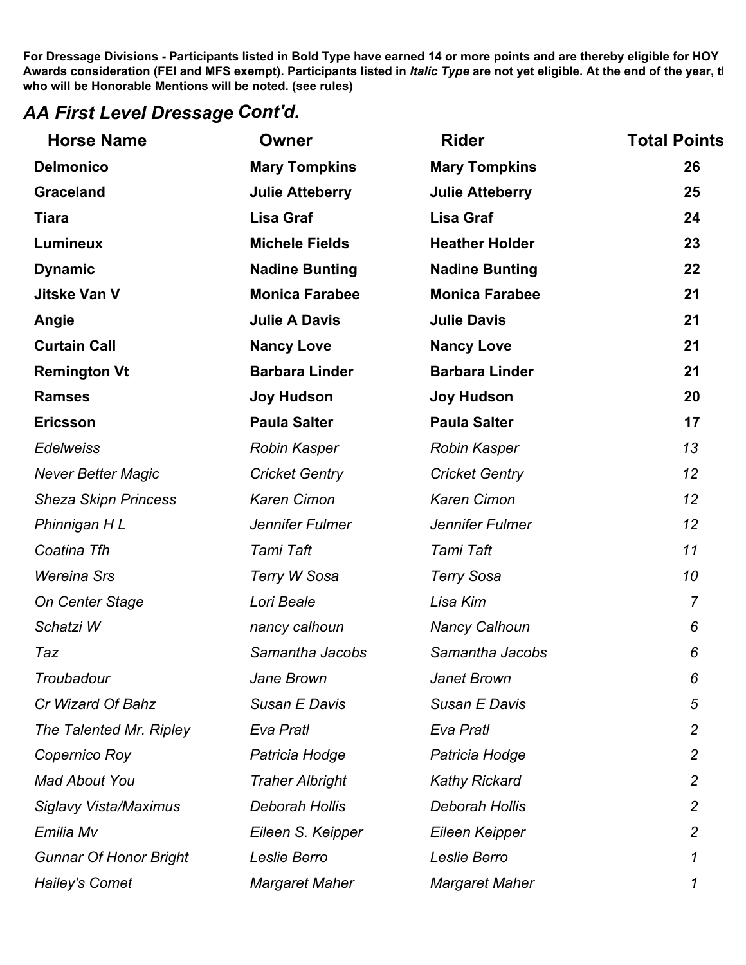### *AA First Level Dressage Cont'd.*

| <b>Horse Name</b>             | <b>Owner</b>           | <b>Rider</b>           | <b>Total Points</b> |
|-------------------------------|------------------------|------------------------|---------------------|
| <b>Delmonico</b>              | <b>Mary Tompkins</b>   | <b>Mary Tompkins</b>   | 26                  |
| <b>Graceland</b>              | <b>Julie Atteberry</b> | <b>Julie Atteberry</b> | 25                  |
| <b>Tiara</b>                  | <b>Lisa Graf</b>       | <b>Lisa Graf</b>       | 24                  |
| <b>Lumineux</b>               | <b>Michele Fields</b>  | <b>Heather Holder</b>  | 23                  |
| <b>Dynamic</b>                | <b>Nadine Bunting</b>  | <b>Nadine Bunting</b>  | 22                  |
| <b>Jitske Van V</b>           | <b>Monica Farabee</b>  | <b>Monica Farabee</b>  | 21                  |
| Angie                         | <b>Julie A Davis</b>   | <b>Julie Davis</b>     | 21                  |
| <b>Curtain Call</b>           | <b>Nancy Love</b>      | <b>Nancy Love</b>      | 21                  |
| <b>Remington Vt</b>           | <b>Barbara Linder</b>  | <b>Barbara Linder</b>  | 21                  |
| <b>Ramses</b>                 | <b>Joy Hudson</b>      | <b>Joy Hudson</b>      | 20                  |
| <b>Ericsson</b>               | <b>Paula Salter</b>    | <b>Paula Salter</b>    | 17                  |
| <b>Edelweiss</b>              | Robin Kasper           | <b>Robin Kasper</b>    | 13                  |
| <b>Never Better Magic</b>     | <b>Cricket Gentry</b>  | <b>Cricket Gentry</b>  | 12                  |
| <b>Sheza Skipn Princess</b>   | <b>Karen Cimon</b>     | <b>Karen Cimon</b>     | 12                  |
| Phinnigan HL                  | Jennifer Fulmer        | Jennifer Fulmer        | 12                  |
| Coatina Tfh                   | Tami Taft              | Tami Taft              | 11                  |
| <b>Wereina Srs</b>            | Terry W Sosa           | <b>Terry Sosa</b>      | 10                  |
| <b>On Center Stage</b>        | Lori Beale             | Lisa Kim               | $\overline{7}$      |
| Schatzi W                     | nancy calhoun          | <b>Nancy Calhoun</b>   | 6                   |
| Taz                           | Samantha Jacobs        | Samantha Jacobs        | 6                   |
| Troubadour                    | Jane Brown             | Janet Brown            | 6                   |
| Cr Wizard Of Bahz             | Susan E Davis          | Susan E Davis          | 5                   |
| The Talented Mr. Ripley       | Eva Pratl              | Eva Pratl              | $\overline{2}$      |
| Copernico Roy                 | Patricia Hodge         | Patricia Hodge         | $\overline{c}$      |
| <b>Mad About You</b>          | <b>Traher Albright</b> | <b>Kathy Rickard</b>   | $\overline{2}$      |
| <b>Siglavy Vista/Maximus</b>  | Deborah Hollis         | Deborah Hollis         | $\overline{2}$      |
| Emilia Mv                     | Eileen S. Keipper      | Eileen Keipper         | $\overline{2}$      |
| <b>Gunnar Of Honor Bright</b> | Leslie Berro           | Leslie Berro           | 1                   |
| <b>Hailey's Comet</b>         | <b>Margaret Maher</b>  | <b>Margaret Maher</b>  |                     |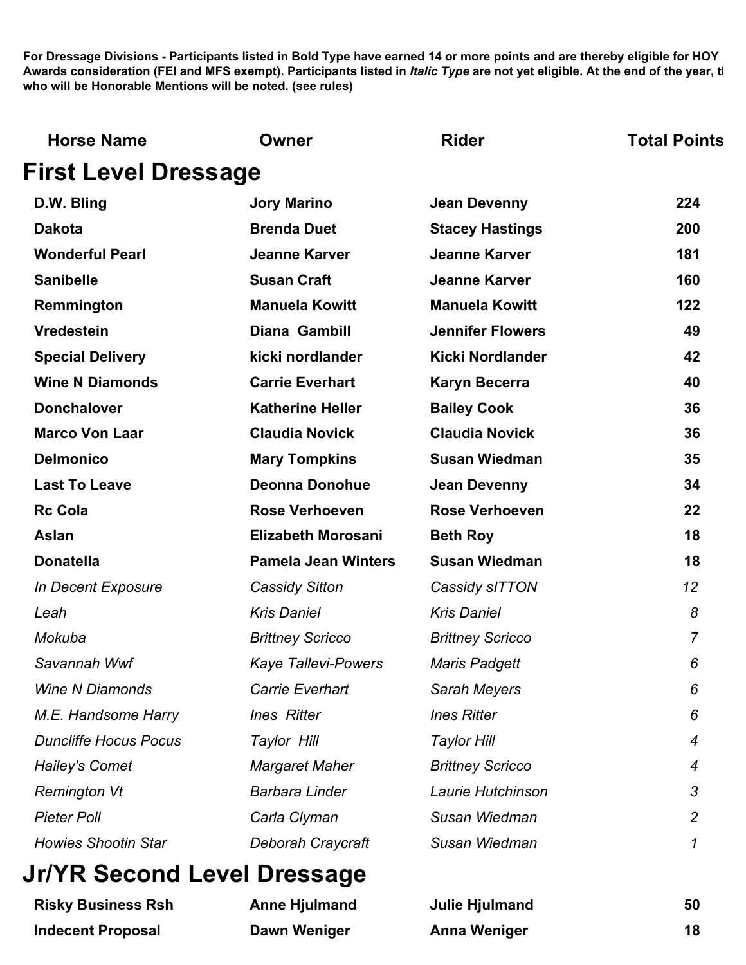| <b>Horse Name</b>            | Owner                      | <b>Rider</b>            | <b>Total Points</b> |
|------------------------------|----------------------------|-------------------------|---------------------|
| <b>First Level Dressage</b>  |                            |                         |                     |
| D.W. Bling                   | <b>Jory Marino</b>         | <b>Jean Devenny</b>     | 224                 |
| <b>Dakota</b>                | <b>Brenda Duet</b>         | <b>Stacey Hastings</b>  | 200                 |
| <b>Wonderful Pearl</b>       | <b>Jeanne Karver</b>       | <b>Jeanne Karver</b>    | 181                 |
| <b>Sanibelle</b>             | <b>Susan Craft</b>         | <b>Jeanne Karver</b>    | 160                 |
| Remmington                   | <b>Manuela Kowitt</b>      | <b>Manuela Kowitt</b>   | 122                 |
| <b>Vredestein</b>            | Diana Gambill              | <b>Jennifer Flowers</b> | 49                  |
| <b>Special Delivery</b>      | kicki nordlander           | <b>Kicki Nordlander</b> | 42                  |
| <b>Wine N Diamonds</b>       | <b>Carrie Everhart</b>     | <b>Karyn Becerra</b>    | 40                  |
| <b>Donchalover</b>           | <b>Katherine Heller</b>    | <b>Bailey Cook</b>      | 36                  |
| <b>Marco Von Laar</b>        | <b>Claudia Novick</b>      | <b>Claudia Novick</b>   | 36                  |
| <b>Delmonico</b>             | <b>Mary Tompkins</b>       | <b>Susan Wiedman</b>    | 35                  |
| <b>Last To Leave</b>         | <b>Deonna Donohue</b>      | <b>Jean Devenny</b>     | 34                  |
| <b>Rc Cola</b>               | <b>Rose Verhoeven</b>      | <b>Rose Verhoeven</b>   | 22                  |
| <b>Aslan</b>                 | <b>Elizabeth Morosani</b>  | <b>Beth Roy</b>         | 18                  |
| <b>Donatella</b>             | <b>Pamela Jean Winters</b> | <b>Susan Wiedman</b>    | 18                  |
| In Decent Exposure           | <b>Cassidy Sitton</b>      | Cassidy sITTON          | 12                  |
| Leah                         | <b>Kris Daniel</b>         | <b>Kris Daniel</b>      | 8                   |
| Mokuba                       | <b>Brittney Scricco</b>    | <b>Brittney Scricco</b> | $\overline{7}$      |
| Savannah Wwf                 | <b>Kaye Tallevi-Powers</b> | <b>Maris Padgett</b>    | 6                   |
| <b>Wine N Diamonds</b>       | <b>Carrie Everhart</b>     | Sarah Meyers            | 6                   |
| M.E. Handsome Harry          | <b>Ines Ritter</b>         | <b>Ines Ritter</b>      | 6                   |
| <b>Duncliffe Hocus Pocus</b> | Taylor Hill                | <b>Taylor Hill</b>      | 4                   |
| <b>Hailey's Comet</b>        | <b>Margaret Maher</b>      | <b>Brittney Scricco</b> | 4                   |
| <b>Remington Vt</b>          | <b>Barbara Linder</b>      | Laurie Hutchinson       | 3                   |
| <b>Pieter Poll</b>           | Carla Clyman               | Susan Wiedman           | $\overline{c}$      |
| <b>Howies Shootin Star</b>   | Deborah Craycraft          | Susan Wiedman           | 1                   |
|                              |                            |                         |                     |

### **Jr/YR Second Level Dressage**

| <b>Risky Business Rsh</b> | <b>Anne Hjulmand</b> | Julie Hjulmand | 50 |
|---------------------------|----------------------|----------------|----|
| <b>Indecent Proposal</b>  | Dawn Weniger         | Anna Weniger   | 18 |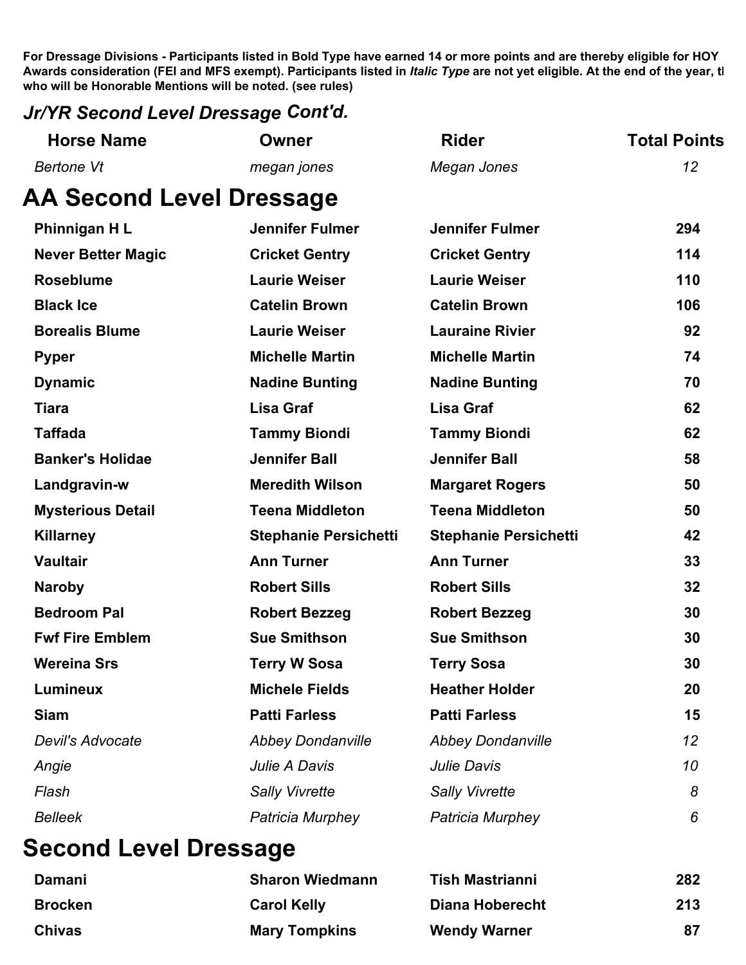#### *Jr/YR Second Level Dressage Cont'd.*

| <b>Horse Name</b>               | Owner                        | <b>Rider</b>                 | <b>Total Points</b> |
|---------------------------------|------------------------------|------------------------------|---------------------|
| <b>Bertone Vt</b>               | megan jones                  | Megan Jones                  | 12                  |
| <b>AA Second Level Dressage</b> |                              |                              |                     |
| Phinnigan HL                    | <b>Jennifer Fulmer</b>       | <b>Jennifer Fulmer</b>       | 294                 |
| <b>Never Better Magic</b>       | <b>Cricket Gentry</b>        | <b>Cricket Gentry</b>        | 114                 |
| <b>Roseblume</b>                | <b>Laurie Weiser</b>         | <b>Laurie Weiser</b>         | 110                 |
| <b>Black Ice</b>                | <b>Catelin Brown</b>         | <b>Catelin Brown</b>         | 106                 |
| <b>Borealis Blume</b>           | <b>Laurie Weiser</b>         | <b>Lauraine Rivier</b>       | 92                  |
| <b>Pyper</b>                    | <b>Michelle Martin</b>       | <b>Michelle Martin</b>       | 74                  |
| <b>Dynamic</b>                  | <b>Nadine Bunting</b>        | <b>Nadine Bunting</b>        | 70                  |
| <b>Tiara</b>                    | <b>Lisa Graf</b>             | <b>Lisa Graf</b>             | 62                  |
| <b>Taffada</b>                  | <b>Tammy Biondi</b>          | <b>Tammy Biondi</b>          | 62                  |
| <b>Banker's Holidae</b>         | <b>Jennifer Ball</b>         | <b>Jennifer Ball</b>         | 58                  |
| Landgravin-w                    | <b>Meredith Wilson</b>       | <b>Margaret Rogers</b>       | 50                  |
| <b>Mysterious Detail</b>        | <b>Teena Middleton</b>       | <b>Teena Middleton</b>       | 50                  |
| <b>Killarney</b>                | <b>Stephanie Persichetti</b> | <b>Stephanie Persichetti</b> | 42                  |
| <b>Vaultair</b>                 | <b>Ann Turner</b>            | <b>Ann Turner</b>            | 33                  |
| <b>Naroby</b>                   | <b>Robert Sills</b>          | <b>Robert Sills</b>          | 32                  |
| <b>Bedroom Pal</b>              | <b>Robert Bezzeg</b>         | <b>Robert Bezzeg</b>         | 30                  |
| <b>Fwf Fire Emblem</b>          | <b>Sue Smithson</b>          | <b>Sue Smithson</b>          | 30                  |
| <b>Wereina Srs</b>              | <b>Terry W Sosa</b>          | <b>Terry Sosa</b>            | 30                  |
| <b>Lumineux</b>                 | <b>Michele Fields</b>        | <b>Heather Holder</b>        | 20                  |
| <b>Siam</b>                     | <b>Patti Farless</b>         | <b>Patti Farless</b>         | 15                  |
| Devil's Advocate                | <b>Abbey Dondanville</b>     | <b>Abbey Dondanville</b>     | 12                  |
| Angie                           | Julie A Davis                | <b>Julie Davis</b>           | 10                  |
| Flash                           | <b>Sally Vivrette</b>        | <b>Sally Vivrette</b>        | 8                   |
| <b>Belleek</b>                  | Patricia Murphey             | Patricia Murphey             | 6                   |
|                                 |                              |                              |                     |

# **Second Level Dressage**

| Damani         | <b>Sharon Wiedmann</b> | <b>Tish Mastrianni</b> | 282 |
|----------------|------------------------|------------------------|-----|
| <b>Brocken</b> | <b>Carol Kelly</b>     | Diana Hoberecht        | 213 |
| <b>Chivas</b>  | <b>Mary Tompkins</b>   | <b>Wendy Warner</b>    | 87  |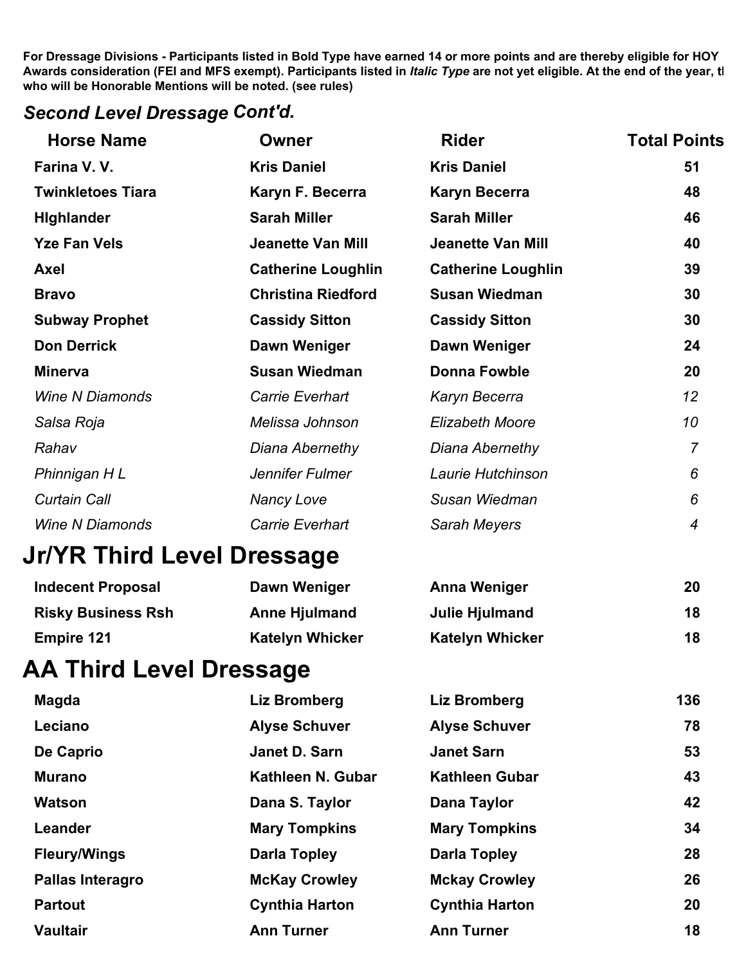### *Second Level Dressage Cont'd.*

| <b>Horse Name</b>          | <b>Owner</b>              | <b>Rider</b>              | <b>Total Points</b> |
|----------------------------|---------------------------|---------------------------|---------------------|
| Farina V.V.                | <b>Kris Daniel</b>        | <b>Kris Daniel</b>        | 51                  |
| <b>Twinkletoes Tiara</b>   | Karyn F. Becerra          | <b>Karyn Becerra</b>      | 48                  |
| <b>Highlander</b>          | <b>Sarah Miller</b>       | <b>Sarah Miller</b>       | 46                  |
| <b>Yze Fan Vels</b>        | <b>Jeanette Van Mill</b>  | <b>Jeanette Van Mill</b>  | 40                  |
| <b>Axel</b>                | <b>Catherine Loughlin</b> | <b>Catherine Loughlin</b> | 39                  |
| <b>Bravo</b>               | <b>Christina Riedford</b> | <b>Susan Wiedman</b>      | 30                  |
| <b>Subway Prophet</b>      | <b>Cassidy Sitton</b>     | <b>Cassidy Sitton</b>     | 30                  |
| <b>Don Derrick</b>         | Dawn Weniger              | Dawn Weniger              | 24                  |
| <b>Minerva</b>             | <b>Susan Wiedman</b>      | <b>Donna Fowble</b>       | 20                  |
| <b>Wine N Diamonds</b>     | <b>Carrie Everhart</b>    | Karyn Becerra             | 12                  |
| Salsa Roja                 | Melissa Johnson           | <b>Elizabeth Moore</b>    | 10                  |
| Rahav                      | Diana Abernethy           | Diana Abernethy           | $\overline{7}$      |
| Phinnigan H L              | Jennifer Fulmer           | Laurie Hutchinson         | 6                   |
| <b>Curtain Call</b>        | <b>Nancy Love</b>         | Susan Wiedman             | 6                   |
| <b>Wine N Diamonds</b>     | <b>Carrie Everhart</b>    | Sarah Meyers              | $\overline{4}$      |
| Jr/YR Third Level Dressage |                           |                           |                     |
| <b>Indecent Proposal</b>   | Dawn Weniger              | <b>Anna Weniger</b>       | 20                  |
| <b>Risky Business Rsh</b>  | <b>Anne Hjulmand</b>      | <b>Julie Hjulmand</b>     | 18                  |
| <b>Empire 121</b>          | <b>Katelyn Whicker</b>    | <b>Katelyn Whicker</b>    | 18                  |
| AA Third Level Dressage    |                           |                           |                     |
| <b>Magda</b>               | <b>Liz Bromberg</b>       | <b>Liz Bromberg</b>       | 136                 |
| Leciano                    | <b>Alyse Schuver</b>      | <b>Alyse Schuver</b>      | 78                  |
| De Caprio                  | Janet D. Sarn             | <b>Janet Sarn</b>         | 53                  |
| <b>Murano</b>              | Kathleen N. Gubar         | <b>Kathleen Gubar</b>     | 43                  |
| <b>Watson</b>              | Dana S. Taylor            | Dana Taylor               | 42                  |
| Leander                    | <b>Mary Tompkins</b>      | <b>Mary Tompkins</b>      | 34                  |
| <b>Fleury/Wings</b>        | <b>Darla Topley</b>       | <b>Darla Topley</b>       | 28                  |
| <b>Pallas Interagro</b>    | <b>McKay Crowley</b>      | <b>Mckay Crowley</b>      | 26                  |
| <b>Partout</b>             | <b>Cynthia Harton</b>     | <b>Cynthia Harton</b>     | 20                  |
| <b>Vaultair</b>            | <b>Ann Turner</b>         | <b>Ann Turner</b>         | 18                  |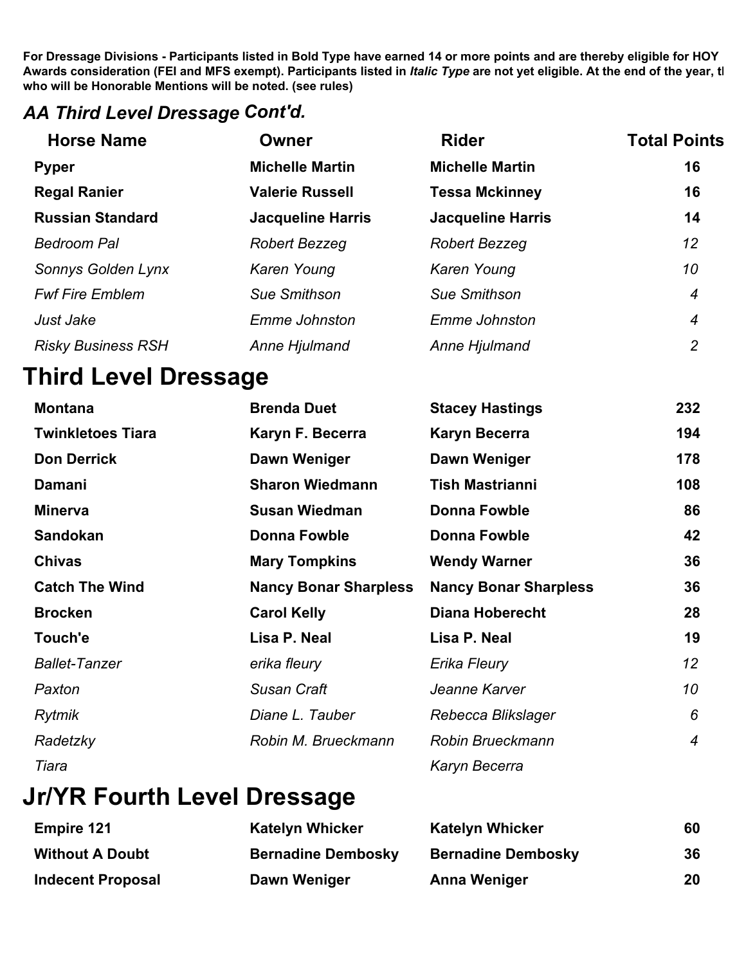#### *AA Third Level Dressage Cont'd.*

| <b>Horse Name</b>         | Owner                    | <b>Rider</b>             | <b>Total Points</b> |
|---------------------------|--------------------------|--------------------------|---------------------|
| <b>Pyper</b>              | <b>Michelle Martin</b>   | <b>Michelle Martin</b>   | 16                  |
| <b>Regal Ranier</b>       | <b>Valerie Russell</b>   | <b>Tessa Mckinney</b>    | 16                  |
| <b>Russian Standard</b>   | <b>Jacqueline Harris</b> | <b>Jacqueline Harris</b> | 14                  |
| <b>Bedroom Pal</b>        | Robert Bezzeg            | Robert Bezzeg            | 12                  |
| Sonnys Golden Lynx        | Karen Young              | Karen Young              | 10                  |
| <b>Fwf Fire Emblem</b>    | <b>Sue Smithson</b>      | Sue Smithson             | $\boldsymbol{4}$    |
| Just Jake                 | Emme Johnston            | Emme Johnston            | 4                   |
| <b>Risky Business RSH</b> | Anne Hjulmand            | Anne Hjulmand            | $\overline{c}$      |
|                           |                          |                          |                     |

### **Third Level Dressage**

| <b>Montana</b>           | <b>Brenda Duet</b>           | <b>Stacey Hastings</b>       | 232              |
|--------------------------|------------------------------|------------------------------|------------------|
| <b>Twinkletoes Tiara</b> | Karyn F. Becerra             | <b>Karyn Becerra</b>         | 194              |
| <b>Don Derrick</b>       | Dawn Weniger                 | Dawn Weniger                 | 178              |
| Damani                   | <b>Sharon Wiedmann</b>       | <b>Tish Mastrianni</b>       | 108              |
| <b>Minerva</b>           | <b>Susan Wiedman</b>         | Donna Fowble                 | 86               |
| <b>Sandokan</b>          | Donna Fowble                 | Donna Fowble                 | 42               |
| <b>Chivas</b>            | <b>Mary Tompkins</b>         | <b>Wendy Warner</b>          | 36               |
| <b>Catch The Wind</b>    | <b>Nancy Bonar Sharpless</b> | <b>Nancy Bonar Sharpless</b> | 36               |
| <b>Brocken</b>           | <b>Carol Kelly</b>           | <b>Diana Hoberecht</b>       | 28               |
| Touch'e                  | Lisa P. Neal                 | Lisa P. Neal                 | 19               |
| <b>Ballet-Tanzer</b>     | erika fleury                 | Erika Fleury                 | 12               |
| Paxton                   | Susan Craft                  | Jeanne Karver                | 10               |
| Rytmik                   | Diane L. Tauber              | Rebecca Blikslager           | 6                |
| Radetzky                 | Robin M. Brueckmann          | Robin Brueckmann             | $\boldsymbol{4}$ |
| Tiara                    |                              | Karyn Becerra                |                  |

# **Jr/YR Fourth Level Dressage**

| <b>Empire 121</b>        | <b>Katelyn Whicker</b>    | <b>Katelyn Whicker</b>    | 60 |
|--------------------------|---------------------------|---------------------------|----|
| <b>Without A Doubt</b>   | <b>Bernadine Dembosky</b> | <b>Bernadine Dembosky</b> | 36 |
| <b>Indecent Proposal</b> | Dawn Weniger              | <b>Anna Weniger</b>       | 20 |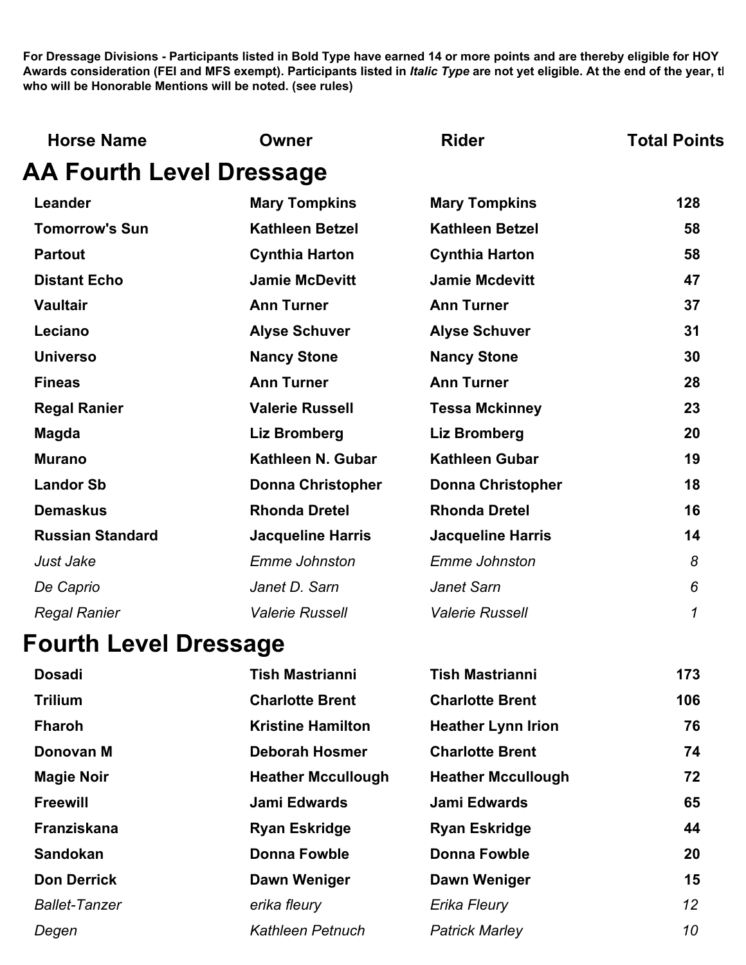| <b>Horse Name</b>               | Owner                    | <b>Rider</b>             | <b>Total Points</b> |
|---------------------------------|--------------------------|--------------------------|---------------------|
| <b>AA Fourth Level Dressage</b> |                          |                          |                     |
| Leander                         | <b>Mary Tompkins</b>     | <b>Mary Tompkins</b>     | 128                 |
| <b>Tomorrow's Sun</b>           | <b>Kathleen Betzel</b>   | <b>Kathleen Betzel</b>   | 58                  |
| <b>Partout</b>                  | <b>Cynthia Harton</b>    | <b>Cynthia Harton</b>    | 58                  |
| <b>Distant Echo</b>             | <b>Jamie McDevitt</b>    | <b>Jamie Mcdevitt</b>    | 47                  |
| <b>Vaultair</b>                 | <b>Ann Turner</b>        | <b>Ann Turner</b>        | 37                  |
| Leciano                         | <b>Alyse Schuver</b>     | <b>Alyse Schuver</b>     | 31                  |
| <b>Universo</b>                 | <b>Nancy Stone</b>       | <b>Nancy Stone</b>       | 30                  |
| <b>Fineas</b>                   | <b>Ann Turner</b>        | <b>Ann Turner</b>        | 28                  |
| <b>Regal Ranier</b>             | <b>Valerie Russell</b>   | <b>Tessa Mckinney</b>    | 23                  |
| <b>Magda</b>                    | <b>Liz Bromberg</b>      | <b>Liz Bromberg</b>      | 20                  |
| <b>Murano</b>                   | Kathleen N. Gubar        | <b>Kathleen Gubar</b>    | 19                  |
| <b>Landor Sb</b>                | <b>Donna Christopher</b> | <b>Donna Christopher</b> | 18                  |
| <b>Demaskus</b>                 | <b>Rhonda Dretel</b>     | <b>Rhonda Dretel</b>     | 16                  |
| <b>Russian Standard</b>         | <b>Jacqueline Harris</b> | <b>Jacqueline Harris</b> | 14                  |
| Just Jake                       | <b>Emme Johnston</b>     | <b>Emme Johnston</b>     | 8                   |
| De Caprio                       | Janet D. Sarn            | <b>Janet Sarn</b>        | 6                   |
| <b>Regal Ranier</b>             | <b>Valerie Russell</b>   | <b>Valerie Russell</b>   | 1                   |
| <b>Fourth Level Dressage</b>    |                          |                          |                     |
| <b>Dosadi</b>                   | <b>Tish Mastrianni</b>   | <b>Tish Mastrianni</b>   | 173                 |

| <b>Trilium</b><br><b>Charlotte Brent</b><br><b>Charlotte Brent</b>          | 106<br>76 |
|-----------------------------------------------------------------------------|-----------|
|                                                                             |           |
| <b>Kristine Hamilton</b><br><b>Fharoh</b><br><b>Heather Lynn Irion</b>      |           |
| <b>Charlotte Brent</b><br>Donovan M<br><b>Deborah Hosmer</b>                | 74        |
| <b>Magie Noir</b><br><b>Heather Mccullough</b><br><b>Heather Mccullough</b> | 72        |
| <b>Jami Edwards</b><br>Jami Edwards<br><b>Freewill</b>                      | 65        |
| Franziskana<br><b>Ryan Eskridge</b><br><b>Ryan Eskridge</b>                 | 44        |
| <b>Sandokan</b><br><b>Donna Fowble</b><br><b>Donna Fowble</b>               | 20        |
| <b>Don Derrick</b><br>Dawn Weniger<br>Dawn Weniger                          | 15        |
| <b>Ballet-Tanzer</b><br>Erika Fleury<br>erika fleury                        | 12        |
| Kathleen Petnuch<br><b>Patrick Marley</b><br>Degen                          | 10        |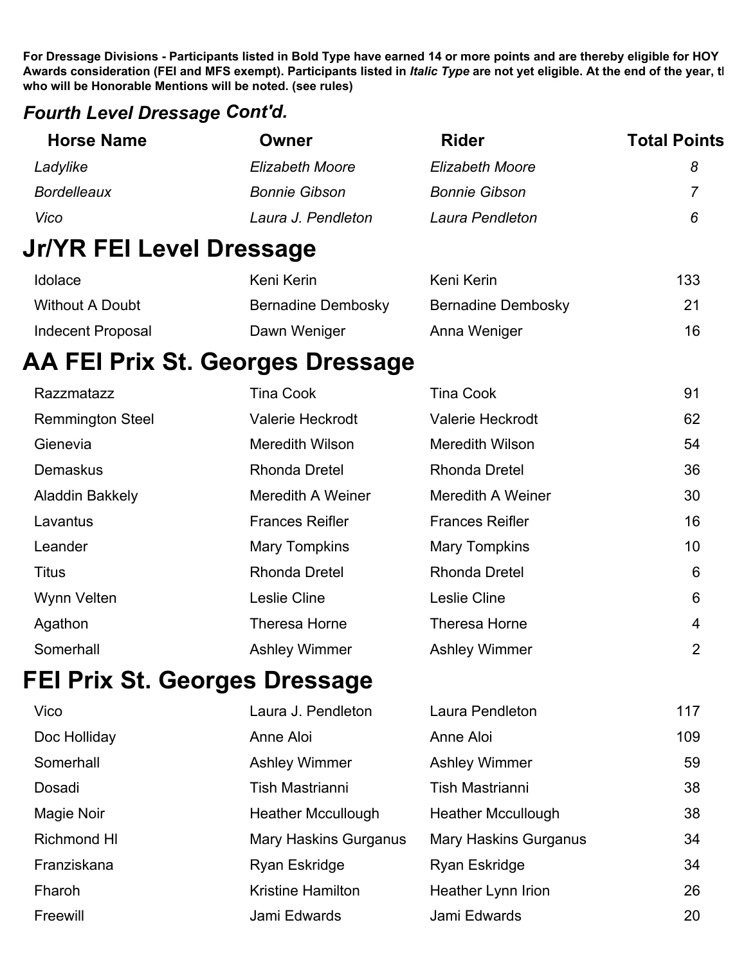#### *Fourth Level Dressage Cont'd.*

| <b>Horse Name</b>               | Owner                            | <b>Rider</b>              | <b>Total Points</b> |
|---------------------------------|----------------------------------|---------------------------|---------------------|
| Ladylike                        | <b>Elizabeth Moore</b>           | <b>Elizabeth Moore</b>    | 8                   |
| <b>Bordelleaux</b>              | <b>Bonnie Gibson</b>             | <b>Bonnie Gibson</b>      |                     |
| Vico                            | Laura J. Pendleton               | Laura Pendleton           | 6                   |
| <b>Jr/YR FEI Level Dressage</b> |                                  |                           |                     |
| Idolace                         | Keni Kerin                       | Keni Kerin                | 133                 |
| <b>Without A Doubt</b>          | <b>Bernadine Dembosky</b>        | <b>Bernadine Dembosky</b> | 21                  |
| <b>Indecent Proposal</b>        | Dawn Weniger                     | Anna Weniger              | 16                  |
|                                 | AA FEI Prix St. Georges Dressage |                           |                     |
| Razzmatazz                      | <b>Tina Cook</b>                 | <b>Tina Cook</b>          | 91                  |
| <b>Remmington Steel</b>         | <b>Valerie Heckrodt</b>          | <b>Valerie Heckrodt</b>   | 62                  |
| Gienevia                        | <b>Meredith Wilson</b>           | <b>Meredith Wilson</b>    | 54                  |
| Demaskus                        | <b>Rhonda Dretel</b>             | <b>Rhonda Dretel</b>      | 36                  |
| <b>Aladdin Bakkely</b>          | Meredith A Weiner                | <b>Meredith A Weiner</b>  | 30                  |
| Lavantus                        | <b>Frances Reifler</b>           | <b>Frances Reifler</b>    | 16                  |

Leander **Mary Tompkins** Mary Tompkins Mary Tompkins 10

| Titus       | Rhonda Dretel        | <b>Rhonda Dretel</b> | 6              |
|-------------|----------------------|----------------------|----------------|
| Wynn Velten | Leslie Cline         | Leslie Cline         | 6              |
| Agathon     | Theresa Horne        | Theresa Horne        | 4              |
| Somerhall   | <b>Ashley Wimmer</b> | <b>Ashley Wimmer</b> | $\overline{2}$ |
|             |                      |                      |                |

### **FEI Prix St. Georges Dressage**

| Vico               | Laura J. Pendleton           | Laura Pendleton              | 117 |
|--------------------|------------------------------|------------------------------|-----|
| Doc Holliday       | Anne Aloi                    | Anne Aloi                    | 109 |
| Somerhall          | <b>Ashley Wimmer</b>         | <b>Ashley Wimmer</b>         | 59  |
| Dosadi             | Tish Mastrianni              | Tish Mastrianni              | 38  |
| Magie Noir         | <b>Heather Mccullough</b>    | <b>Heather Mccullough</b>    | 38  |
| <b>Richmond HI</b> | <b>Mary Haskins Gurganus</b> | <b>Mary Haskins Gurganus</b> | 34  |
| Franziskana        | Ryan Eskridge                | Ryan Eskridge                | 34  |
| Fharoh             | <b>Kristine Hamilton</b>     | Heather Lynn Irion           | 26  |
| Freewill           | Jami Edwards                 | Jami Edwards                 | 20  |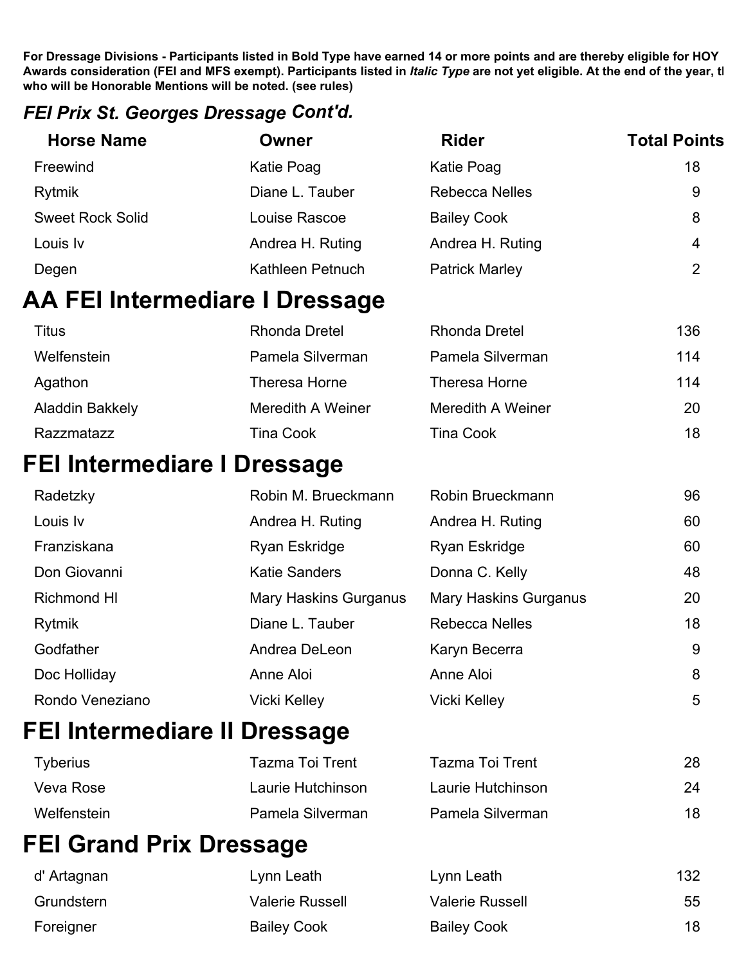#### *FEI Prix St. Georges Dressage Cont'd.*

| <b>Horse Name</b>       | Owner                          | <b>Rider</b>          | <b>Total Points</b> |
|-------------------------|--------------------------------|-----------------------|---------------------|
| Freewind                | Katie Poag                     | Katie Poag            | 18                  |
| Rytmik                  | Diane L. Tauber                | <b>Rebecca Nelles</b> | 9                   |
| <b>Sweet Rock Solid</b> | Louise Rascoe                  | <b>Bailey Cook</b>    | 8                   |
| Louis Iv                | Andrea H. Ruting               | Andrea H. Ruting      | 4                   |
| Degen                   | Kathleen Petnuch               | <b>Patrick Marley</b> | 2                   |
|                         | AA FEI Intermediare I Dressage |                       |                     |

| Titus           | Rhonda Dretel     | Rhonda Dretel     | 136 |
|-----------------|-------------------|-------------------|-----|
| Welfenstein     | Pamela Silverman  | Pamela Silverman  | 114 |
| Agathon         | Theresa Horne     | Theresa Horne     | 114 |
| Aladdin Bakkely | Meredith A Weiner | Meredith A Weiner | 20  |
| Razzmatazz      | <b>Tina Cook</b>  | <b>Tina Cook</b>  | 18  |

### **FEI Intermediare I Dressage**

| Radetzky        | Robin M. Brueckmann          | Robin Brueckmann             | 96 |
|-----------------|------------------------------|------------------------------|----|
| Louis Iv        | Andrea H. Ruting             | Andrea H. Ruting             | 60 |
| Franziskana     | Ryan Eskridge                | Ryan Eskridge                | 60 |
| Don Giovanni    | <b>Katie Sanders</b>         | Donna C. Kelly               | 48 |
| Richmond HI     | <b>Mary Haskins Gurganus</b> | <b>Mary Haskins Gurganus</b> | 20 |
| Rytmik          | Diane L. Tauber              | <b>Rebecca Nelles</b>        | 18 |
| Godfather       | Andrea DeLeon                | Karyn Becerra                | 9  |
| Doc Holliday    | Anne Aloi                    | Anne Aloi                    | 8  |
| Rondo Veneziano | <b>Vicki Kelley</b>          | Vicki Kelley                 | 5  |

# **FEI Intermediare II Dressage**

| Tyberius    | Tazma Toi Trent   | Tazma Toi Trent   | 28 |
|-------------|-------------------|-------------------|----|
| Veva Rose   | Laurie Hutchinson | Laurie Hutchinson | 24 |
| Welfenstein | Pamela Silverman  | Pamela Silverman  | 18 |

# **FEI Grand Prix Dressage**

| d' Artagnan | Lynn Leath             | Lynn Leath             | 132 |
|-------------|------------------------|------------------------|-----|
| Grundstern  | <b>Valerie Russell</b> | <b>Valerie Russell</b> | 55  |
| Foreigner   | <b>Bailey Cook</b>     | <b>Bailey Cook</b>     | 18  |